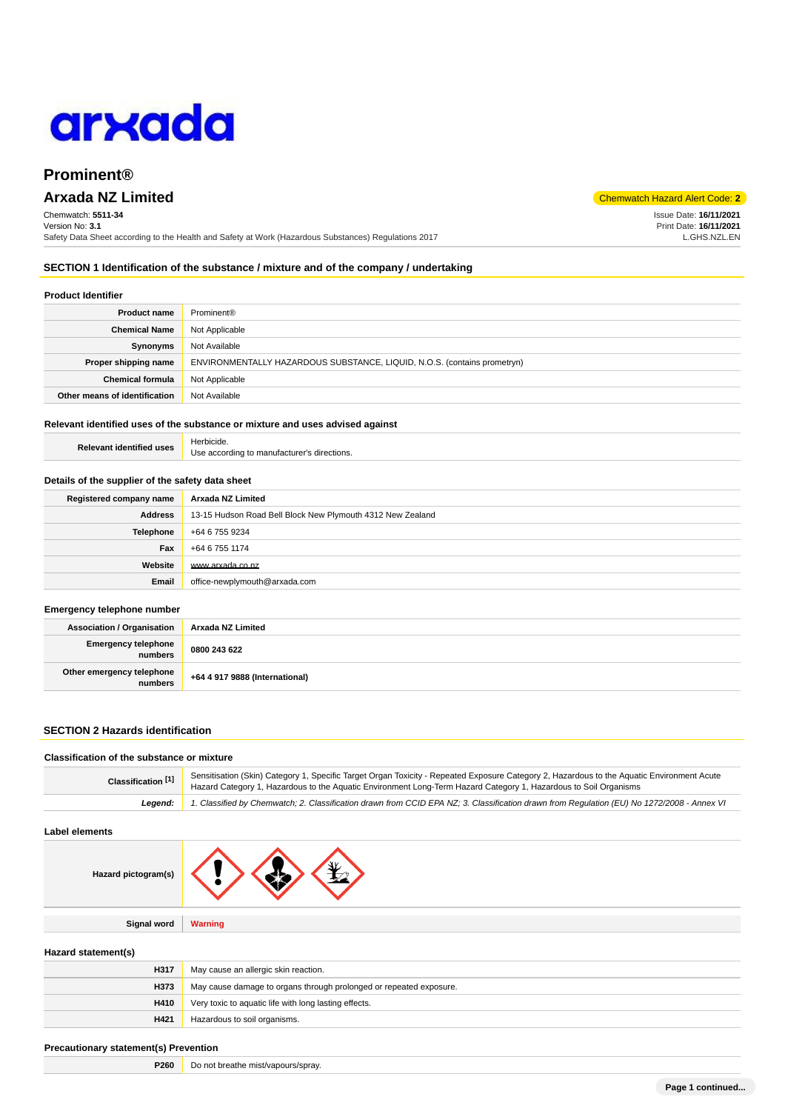

# **Prominent®**

# **Arxada NZ Limited** Code: **2**

Chemwatch: **5511-34** Version No: **3.1** Safety Data Sheet according to the Health and Safety at Work (Hazardous Substances) Regulations 2017

### **SECTION 1 Identification of the substance / mixture and of the company / undertaking**

### **Product Identifier**

| <b>Product name</b>           | Prominent <sup>®</sup>                                                   |
|-------------------------------|--------------------------------------------------------------------------|
| <b>Chemical Name</b>          | Not Applicable                                                           |
| Synonyms                      | Not Available                                                            |
| Proper shipping name          | ENVIRONMENTALLY HAZARDOUS SUBSTANCE, LIQUID, N.O.S. (contains prometryn) |
| <b>Chemical formula</b>       | Not Applicable                                                           |
| Other means of identification | Not Available                                                            |

### **Relevant identified uses of the substance or mixture and uses advised against**

| <b>Relevant identified uses</b> | Herbicide.                                  |
|---------------------------------|---------------------------------------------|
|                                 | Use according to manufacturer's directions. |

#### **Details of the supplier of the safety data sheet**

| Registered company name | Arxada NZ Limited                                          |
|-------------------------|------------------------------------------------------------|
| Address                 | 13-15 Hudson Road Bell Block New Plymouth 4312 New Zealand |
| Telephone               | +64 6 755 9234                                             |
| Fax                     | +64 6 755 1174                                             |
| Website                 | www.arxada.co.nz                                           |
| Email                   | office-newplymouth@arxada.com                              |

#### **Emergency telephone number**

| <b>Association / Organisation</b>    | Arxada NZ Limited              |
|--------------------------------------|--------------------------------|
| Emergency telephone<br>numbers       | 0800 243 622                   |
| Other emergency telephone<br>numbers | +64 4 917 9888 (International) |

### **SECTION 2 Hazards identification**

### **Classification of the substance or mixture**

| Classification <sup>[1]</sup> | Sensitisation (Skin) Category 1, Specific Target Organ Toxicity - Repeated Exposure Category 2, Hazardous to the Aquatic Environment Acute<br>Hazard Category 1, Hazardous to the Aquatic Environment Long-Term Hazard Category 1, Hazardous to Soil Organisms |  |
|-------------------------------|----------------------------------------------------------------------------------------------------------------------------------------------------------------------------------------------------------------------------------------------------------------|--|
| Leaend:                       | 1. Classified by Chemwatch; 2. Classification drawn from CCID EPA NZ; 3. Classification drawn from Requlation (EU) No 1272/2008 - Annex VI                                                                                                                     |  |

### **Label elements**

| Hazard pictogram(s) | $\mathbf{X}$   |
|---------------------|----------------|
|                     |                |
| Signal word         | <b>Warning</b> |

### **Hazard statement(s)**

| H317 | May cause an allergic skin reaction.                               |
|------|--------------------------------------------------------------------|
| H373 | May cause damage to organs through prolonged or repeated exposure. |
| H410 | Very toxic to aquatic life with long lasting effects.              |
| H421 | Hazardous to soil organisms.                                       |

### **Precautionary statement(s) Prevention**

| P <sub>260</sub> | Do not breathe mist/vapours/spray. |
|------------------|------------------------------------|
|------------------|------------------------------------|

Issue Date: **16/11/2021** Print Date: **16/11/2021** L.GHS.NZL.EN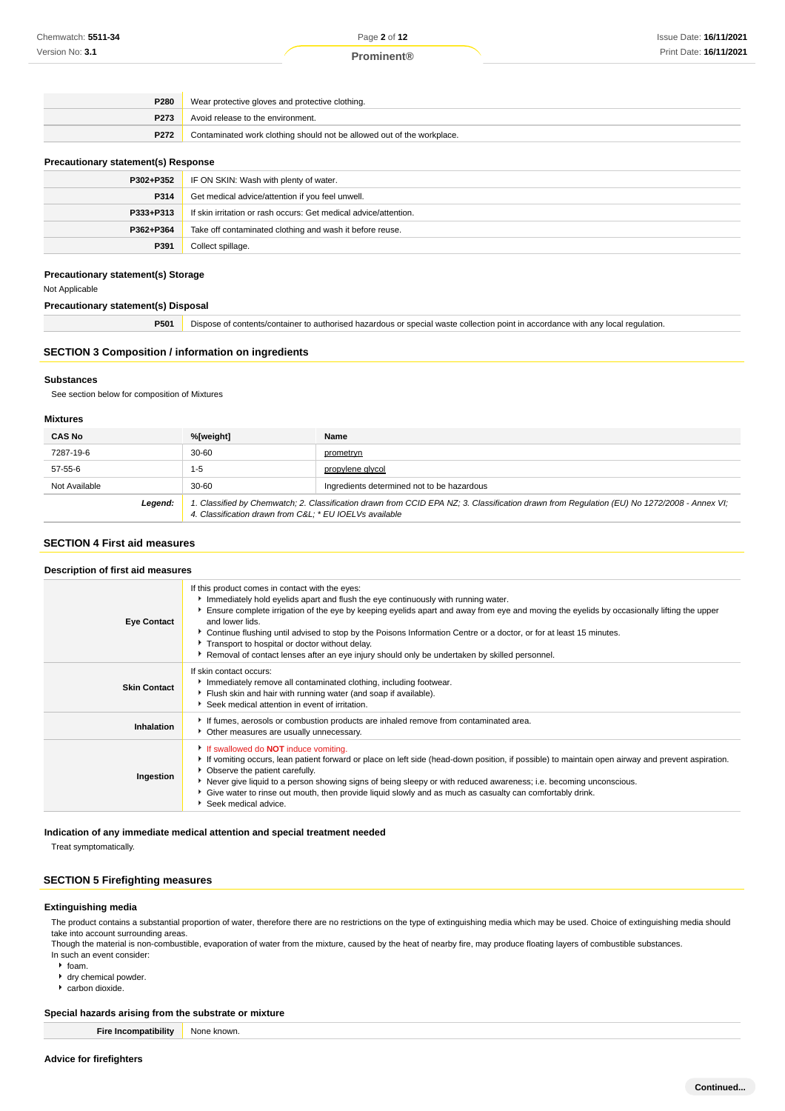### **Prominent®**

| P280             | Wear protective gloves and protective clothing.                        |
|------------------|------------------------------------------------------------------------|
| P <sub>273</sub> | Avoid release to the environment.                                      |
| P272             | Contaminated work clothing should not be allowed out of the workplace. |
|                  |                                                                        |

### **Precautionary statement(s) Response**

| P302+P352 | IF ON SKIN: Wash with plenty of water.                           |
|-----------|------------------------------------------------------------------|
| P314      | Get medical advice/attention if you feel unwell.                 |
| P333+P313 | If skin irritation or rash occurs: Get medical advice/attention. |
| P362+P364 | Take off contaminated clothing and wash it before reuse.         |
| P391      | Collect spillage.                                                |

### **Precautionary statement(s) Storage**

Not Applicable

#### **Precautionary statement(s) Disposal**

**P501** Dispose of contents/container to authorised hazardous or special waste collection point in accordance with any local regulation.

### **SECTION 3 Composition / information on ingredients**

#### **Substances**

See section below for composition of Mixtures

### **Mixtures**

| <b>CAS No</b> | %[weight]                                              | Name                                                                                                                                        |
|---------------|--------------------------------------------------------|---------------------------------------------------------------------------------------------------------------------------------------------|
| 7287-19-6     | $30 - 60$                                              | prometryn                                                                                                                                   |
| 57-55-6       | $1 - 5$                                                | propylene glycol                                                                                                                            |
| Not Available | $30 - 60$                                              | Ingredients determined not to be hazardous                                                                                                  |
| Legend:       | 4. Classification drawn from C&L * EU IOELVs available | 1. Classified by Chemwatch; 2. Classification drawn from CCID EPA NZ; 3. Classification drawn from Regulation (EU) No 1272/2008 - Annex VI; |

### **SECTION 4 First aid measures**

### **Description of first aid measures**

| <b>Eye Contact</b>  | If this product comes in contact with the eyes:<br>Immediately hold eyelids apart and flush the eye continuously with running water.<br>Ensure complete irrigation of the eye by keeping eyelids apart and away from eye and moving the eyelids by occasionally lifting the upper<br>and lower lids.<br>► Continue flushing until advised to stop by the Poisons Information Centre or a doctor, or for at least 15 minutes.<br>Transport to hospital or doctor without delay.<br>▶ Removal of contact lenses after an eye injury should only be undertaken by skilled personnel. |
|---------------------|-----------------------------------------------------------------------------------------------------------------------------------------------------------------------------------------------------------------------------------------------------------------------------------------------------------------------------------------------------------------------------------------------------------------------------------------------------------------------------------------------------------------------------------------------------------------------------------|
| <b>Skin Contact</b> | If skin contact occurs:<br>Immediately remove all contaminated clothing, including footwear.<br>Flush skin and hair with running water (and soap if available).<br>Seek medical attention in event of irritation.                                                                                                                                                                                                                                                                                                                                                                 |
| Inhalation          | If fumes, aerosols or combustion products are inhaled remove from contaminated area.<br>• Other measures are usually unnecessary.                                                                                                                                                                                                                                                                                                                                                                                                                                                 |
| Ingestion           | If swallowed do <b>NOT</b> induce vomiting.<br>If vomiting occurs, lean patient forward or place on left side (head-down position, if possible) to maintain open airway and prevent aspiration.<br>• Observe the patient carefully.<br>▶ Never give liquid to a person showing signs of being sleepy or with reduced awareness; i.e. becoming unconscious.<br>► Give water to rinse out mouth, then provide liquid slowly and as much as casualty can comfortably drink.<br>Seek medical advice.                                                                                  |

#### **Indication of any immediate medical attention and special treatment needed**

Treat symptomatically.

### **SECTION 5 Firefighting measures**

### **Extinguishing media**

The product contains a substantial proportion of water, therefore there are no restrictions on the type of extinguishing media which may be used. Choice of extinguishing media should take into account surrounding areas.

Though the material is non-combustible, evaporation of water from the mixture, caused by the heat of nearby fire, may produce floating layers of combustible substances. In such an event consider:

- foam.
- dry chemical powder.
- $\overline{\phantom{a}}$  carbon dioxide.

#### **Special hazards arising from the substrate or mixture**

**Fire Incompatibility** None known.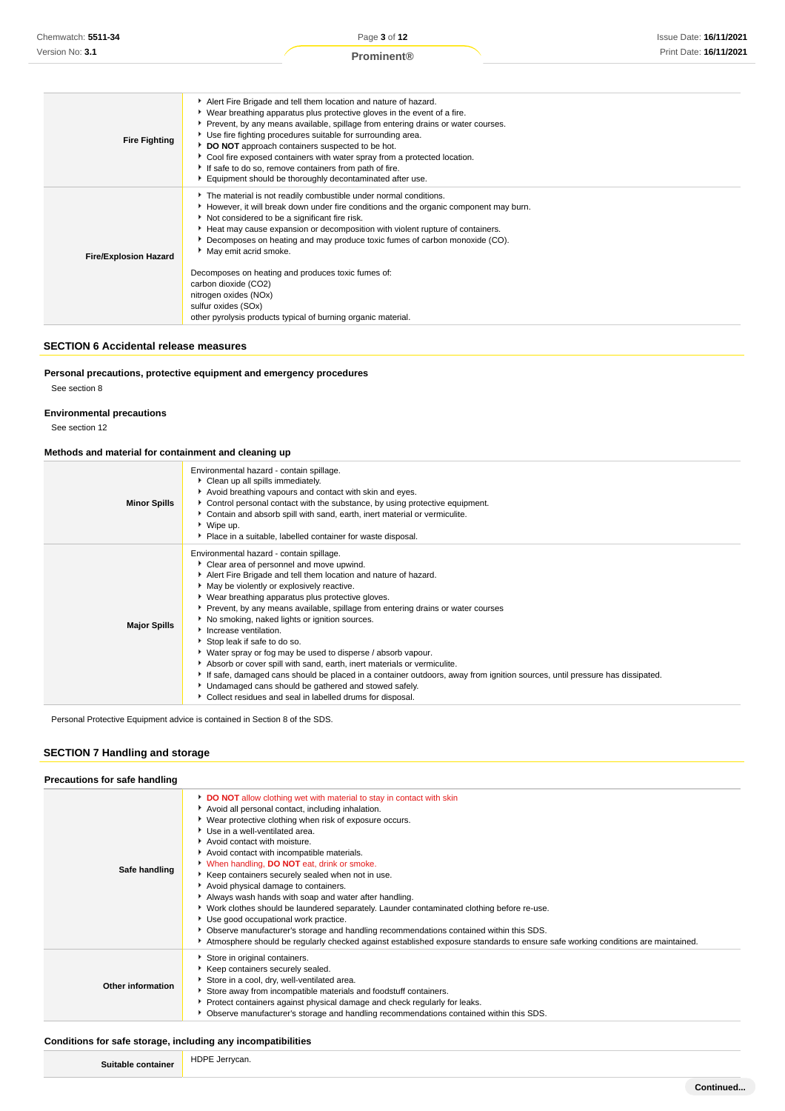| <b>Fire Fighting</b>         | Alert Fire Brigade and tell them location and nature of hazard.<br>▶ Wear breathing apparatus plus protective gloves in the event of a fire.<br>▶ Prevent, by any means available, spillage from entering drains or water courses.<br>Use fire fighting procedures suitable for surrounding area.<br>DO NOT approach containers suspected to be hot.<br>▶ Cool fire exposed containers with water spray from a protected location.<br>If safe to do so, remove containers from path of fire.<br>Equipment should be thoroughly decontaminated after use.                                              |
|------------------------------|-------------------------------------------------------------------------------------------------------------------------------------------------------------------------------------------------------------------------------------------------------------------------------------------------------------------------------------------------------------------------------------------------------------------------------------------------------------------------------------------------------------------------------------------------------------------------------------------------------|
| <b>Fire/Explosion Hazard</b> | The material is not readily combustible under normal conditions.<br>► However, it will break down under fire conditions and the organic component may burn.<br>Not considered to be a significant fire risk.<br>Heat may cause expansion or decomposition with violent rupture of containers.<br>▶ Decomposes on heating and may produce toxic fumes of carbon monoxide (CO).<br>May emit acrid smoke.<br>Decomposes on heating and produces toxic fumes of:<br>carbon dioxide (CO2)<br>nitrogen oxides (NOx)<br>sulfur oxides (SOx)<br>other pyrolysis products typical of burning organic material. |

### **SECTION 6 Accidental release measures**

**Personal precautions, protective equipment and emergency procedures**

See section 8

### **Environmental precautions**

See section 12

### **Methods and material for containment and cleaning up**

| <b>Minor Spills</b> | Environmental hazard - contain spillage.<br>Clean up all spills immediately.<br>Avoid breathing vapours and contact with skin and eyes.<br>Control personal contact with the substance, by using protective equipment.<br>• Contain and absorb spill with sand, earth, inert material or vermiculite.<br>▶ Wipe up.<br>• Place in a suitable, labelled container for waste disposal.                                                                                                                                                                                                                                                                                                                                                                                                                                                                        |
|---------------------|-------------------------------------------------------------------------------------------------------------------------------------------------------------------------------------------------------------------------------------------------------------------------------------------------------------------------------------------------------------------------------------------------------------------------------------------------------------------------------------------------------------------------------------------------------------------------------------------------------------------------------------------------------------------------------------------------------------------------------------------------------------------------------------------------------------------------------------------------------------|
| <b>Major Spills</b> | Environmental hazard - contain spillage.<br>Clear area of personnel and move upwind.<br>Alert Fire Brigade and tell them location and nature of hazard.<br>• May be violently or explosively reactive.<br>• Wear breathing apparatus plus protective gloves.<br>▶ Prevent, by any means available, spillage from entering drains or water courses<br>No smoking, naked lights or ignition sources.<br>Increase ventilation.<br>Stop leak if safe to do so.<br>▶ Water spray or fog may be used to disperse / absorb vapour.<br>Absorb or cover spill with sand, earth, inert materials or vermiculite.<br>If safe, damaged cans should be placed in a container outdoors, away from ignition sources, until pressure has dissipated.<br>Undamaged cans should be gathered and stowed safely.<br>• Collect residues and seal in labelled drums for disposal. |

Personal Protective Equipment advice is contained in Section 8 of the SDS.

### **SECTION 7 Handling and storage**

| Precautions for safe handling |                                                                                                                                                                                                                                                                                                                                                                                                                                                                                                                                                                                                                                                                                                                                                                                                                                                                                  |
|-------------------------------|----------------------------------------------------------------------------------------------------------------------------------------------------------------------------------------------------------------------------------------------------------------------------------------------------------------------------------------------------------------------------------------------------------------------------------------------------------------------------------------------------------------------------------------------------------------------------------------------------------------------------------------------------------------------------------------------------------------------------------------------------------------------------------------------------------------------------------------------------------------------------------|
| Safe handling                 | DO NOT allow clothing wet with material to stay in contact with skin<br>Avoid all personal contact, including inhalation.<br>▶ Wear protective clothing when risk of exposure occurs.<br>Use in a well-ventilated area.<br>Avoid contact with moisture.<br>Avoid contact with incompatible materials.<br>When handling, DO NOT eat, drink or smoke.<br>▶ Keep containers securely sealed when not in use.<br>Avoid physical damage to containers.<br>Always wash hands with soap and water after handling.<br>▶ Work clothes should be laundered separately. Launder contaminated clothing before re-use.<br>Use good occupational work practice.<br>▶ Observe manufacturer's storage and handling recommendations contained within this SDS.<br>Atmosphere should be regularly checked against established exposure standards to ensure safe working conditions are maintained. |
| <b>Other information</b>      | Store in original containers.<br>Keep containers securely sealed.<br>Store in a cool, dry, well-ventilated area.<br>Store away from incompatible materials and foodstuff containers.<br>Protect containers against physical damage and check regularly for leaks.<br>• Observe manufacturer's storage and handling recommendations contained within this SDS.                                                                                                                                                                                                                                                                                                                                                                                                                                                                                                                    |

### **Conditions for safe storage, including any incompatibilities**

| . | ⊐ח⊔<br>-- |  |
|---|-----------|--|
|   |           |  |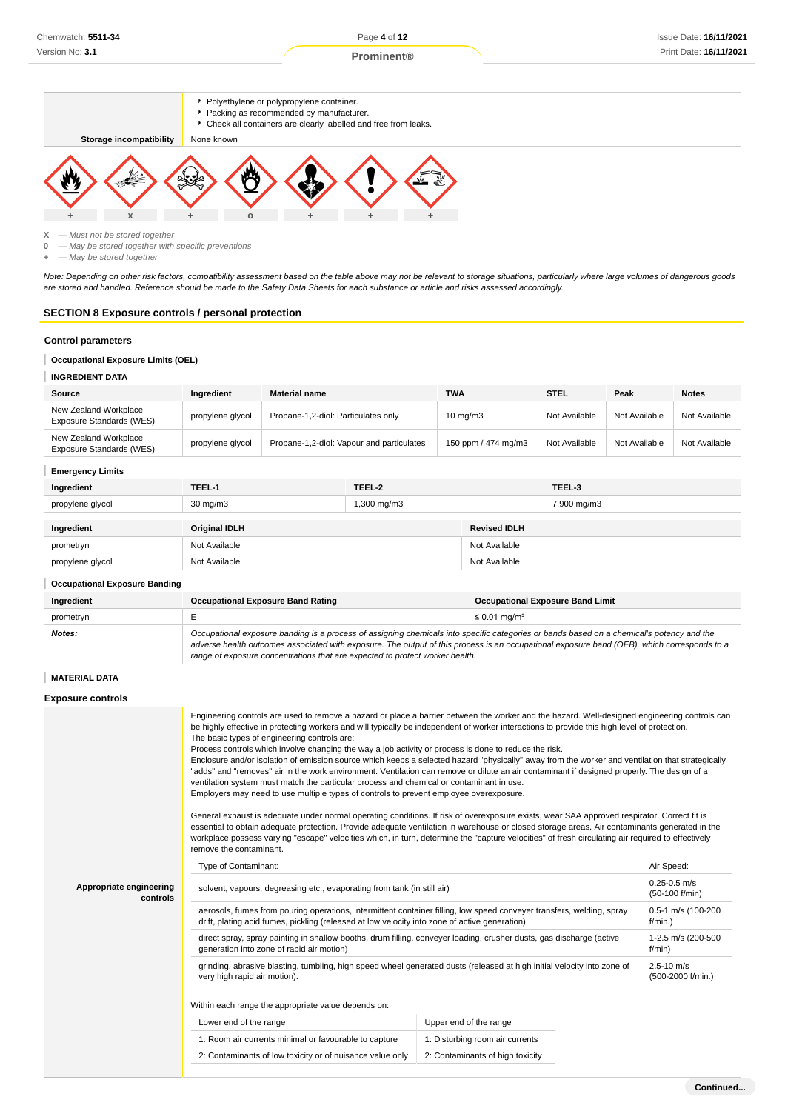### **Prominent®**



### **Occupational Exposure Limits (OEL)**

### **INGREDIENT DATA**

| Source                                            | Inaredient       | <b>Material name</b>                      | <b>TWA</b>          | <b>STEL</b>   | Peak          | <b>Notes</b>  |
|---------------------------------------------------|------------------|-------------------------------------------|---------------------|---------------|---------------|---------------|
| New Zealand Workplace<br>Exposure Standards (WES) | propylene glycol | Propane-1,2-diol: Particulates only       | $10 \text{ mg/m}$   | Not Available | Not Available | Not Available |
| New Zealand Workplace<br>Exposure Standards (WES) | propylene glycol | Propane-1,2-diol: Vapour and particulates | 150 ppm / 474 mg/m3 | Not Available | Not Available | Not Available |
| <b>Emergency Limits</b>                           |                  |                                           |                     |               |               |               |

| Ingredient       | TEEL-1               | TEEL-2                  |                     | TEEL-3      |
|------------------|----------------------|-------------------------|---------------------|-------------|
| propylene glycol | $30 \text{ mg/m}$    | $1,300 \,\mathrm{mg/m}$ |                     | 7,900 mg/m3 |
|                  |                      |                         |                     |             |
| Ingredient       | <b>Original IDLH</b> |                         | <b>Revised IDLH</b> |             |

| <b>Illyrealent</b>                   | UNIUM IDLA    | REVISEU IDLA  |  |
|--------------------------------------|---------------|---------------|--|
| prometryn                            | Not Available | Not Available |  |
| propylene glycol                     | Not Available | Not Available |  |
| <b>Occupational Exposure Banding</b> |               |               |  |

| Ingredient | <b>Occupational Exposure Band Rating</b>                                                                                                                                                                                                                                                                                                                                 | <b>Occupational Exposure Band Limit</b> |
|------------|--------------------------------------------------------------------------------------------------------------------------------------------------------------------------------------------------------------------------------------------------------------------------------------------------------------------------------------------------------------------------|-----------------------------------------|
| prometryn  |                                                                                                                                                                                                                                                                                                                                                                          | $\leq$ 0.01 mg/m <sup>3</sup>           |
| Notes:     | Occupational exposure banding is a process of assigning chemicals into specific categories or bands based on a chemical's potency and the<br>adverse health outcomes associated with exposure. The output of this process is an occupational exposure band (OEB), which corresponds to a<br>range of exposure concentrations that are expected to protect worker health. |                                         |

### **MATERIAL DATA**

### **Exposure controls**

|                                     | Engineering controls are used to remove a hazard or place a barrier between the worker and the hazard. Well-designed engineering controls can<br>be highly effective in protecting workers and will typically be independent of worker interactions to provide this high level of protection.<br>The basic types of engineering controls are:<br>Process controls which involve changing the way a job activity or process is done to reduce the risk.<br>Enclosure and/or isolation of emission source which keeps a selected hazard "physically" away from the worker and ventilation that strategically<br>"adds" and "removes" air in the work environment. Ventilation can remove or dilute an air contaminant if designed properly. The design of a<br>ventilation system must match the particular process and chemical or contaminant in use.<br>Employers may need to use multiple types of controls to prevent employee overexposure.<br>General exhaust is adequate under normal operating conditions. If risk of overexposure exists, wear SAA approved respirator. Correct fit is<br>essential to obtain adequate protection. Provide adequate ventilation in warehouse or closed storage areas. Air contaminants generated in the<br>workplace possess varying "escape" velocities which, in turn, determine the "capture velocities" of fresh circulating air required to effectively |                                  |                                     |  |
|-------------------------------------|------------------------------------------------------------------------------------------------------------------------------------------------------------------------------------------------------------------------------------------------------------------------------------------------------------------------------------------------------------------------------------------------------------------------------------------------------------------------------------------------------------------------------------------------------------------------------------------------------------------------------------------------------------------------------------------------------------------------------------------------------------------------------------------------------------------------------------------------------------------------------------------------------------------------------------------------------------------------------------------------------------------------------------------------------------------------------------------------------------------------------------------------------------------------------------------------------------------------------------------------------------------------------------------------------------------------------------------------------------------------------------------------------|----------------------------------|-------------------------------------|--|
|                                     | remove the contaminant.                                                                                                                                                                                                                                                                                                                                                                                                                                                                                                                                                                                                                                                                                                                                                                                                                                                                                                                                                                                                                                                                                                                                                                                                                                                                                                                                                                              |                                  |                                     |  |
|                                     | Type of Contaminant:                                                                                                                                                                                                                                                                                                                                                                                                                                                                                                                                                                                                                                                                                                                                                                                                                                                                                                                                                                                                                                                                                                                                                                                                                                                                                                                                                                                 |                                  | Air Speed:                          |  |
| Appropriate engineering<br>controls | solvent, vapours, degreasing etc., evaporating from tank (in still air)                                                                                                                                                                                                                                                                                                                                                                                                                                                                                                                                                                                                                                                                                                                                                                                                                                                                                                                                                                                                                                                                                                                                                                                                                                                                                                                              |                                  | $0.25 - 0.5$ m/s<br>(50-100 f/min)  |  |
|                                     | aerosols, fumes from pouring operations, intermittent container filling, low speed conveyer transfers, welding, spray<br>drift, plating acid fumes, pickling (released at low velocity into zone of active generation)                                                                                                                                                                                                                                                                                                                                                                                                                                                                                                                                                                                                                                                                                                                                                                                                                                                                                                                                                                                                                                                                                                                                                                               |                                  | 0.5-1 m/s (100-200<br>f/min.        |  |
|                                     | direct spray, spray painting in shallow booths, drum filling, conveyer loading, crusher dusts, gas discharge (active<br>generation into zone of rapid air motion)                                                                                                                                                                                                                                                                                                                                                                                                                                                                                                                                                                                                                                                                                                                                                                                                                                                                                                                                                                                                                                                                                                                                                                                                                                    |                                  | 1-2.5 m/s (200-500<br>f/min)        |  |
|                                     | grinding, abrasive blasting, tumbling, high speed wheel generated dusts (released at high initial velocity into zone of<br>very high rapid air motion).                                                                                                                                                                                                                                                                                                                                                                                                                                                                                                                                                                                                                                                                                                                                                                                                                                                                                                                                                                                                                                                                                                                                                                                                                                              |                                  | $2.5 - 10$ m/s<br>(500-2000 f/min.) |  |
|                                     |                                                                                                                                                                                                                                                                                                                                                                                                                                                                                                                                                                                                                                                                                                                                                                                                                                                                                                                                                                                                                                                                                                                                                                                                                                                                                                                                                                                                      |                                  |                                     |  |
|                                     | Lower end of the range                                                                                                                                                                                                                                                                                                                                                                                                                                                                                                                                                                                                                                                                                                                                                                                                                                                                                                                                                                                                                                                                                                                                                                                                                                                                                                                                                                               | Upper end of the range           |                                     |  |
|                                     | 1: Room air currents minimal or favourable to capture                                                                                                                                                                                                                                                                                                                                                                                                                                                                                                                                                                                                                                                                                                                                                                                                                                                                                                                                                                                                                                                                                                                                                                                                                                                                                                                                                | 1: Disturbing room air currents  |                                     |  |
|                                     | 2: Contaminants of low toxicity or of nuisance value only                                                                                                                                                                                                                                                                                                                                                                                                                                                                                                                                                                                                                                                                                                                                                                                                                                                                                                                                                                                                                                                                                                                                                                                                                                                                                                                                            | 2: Contaminants of high toxicity |                                     |  |
|                                     |                                                                                                                                                                                                                                                                                                                                                                                                                                                                                                                                                                                                                                                                                                                                                                                                                                                                                                                                                                                                                                                                                                                                                                                                                                                                                                                                                                                                      |                                  |                                     |  |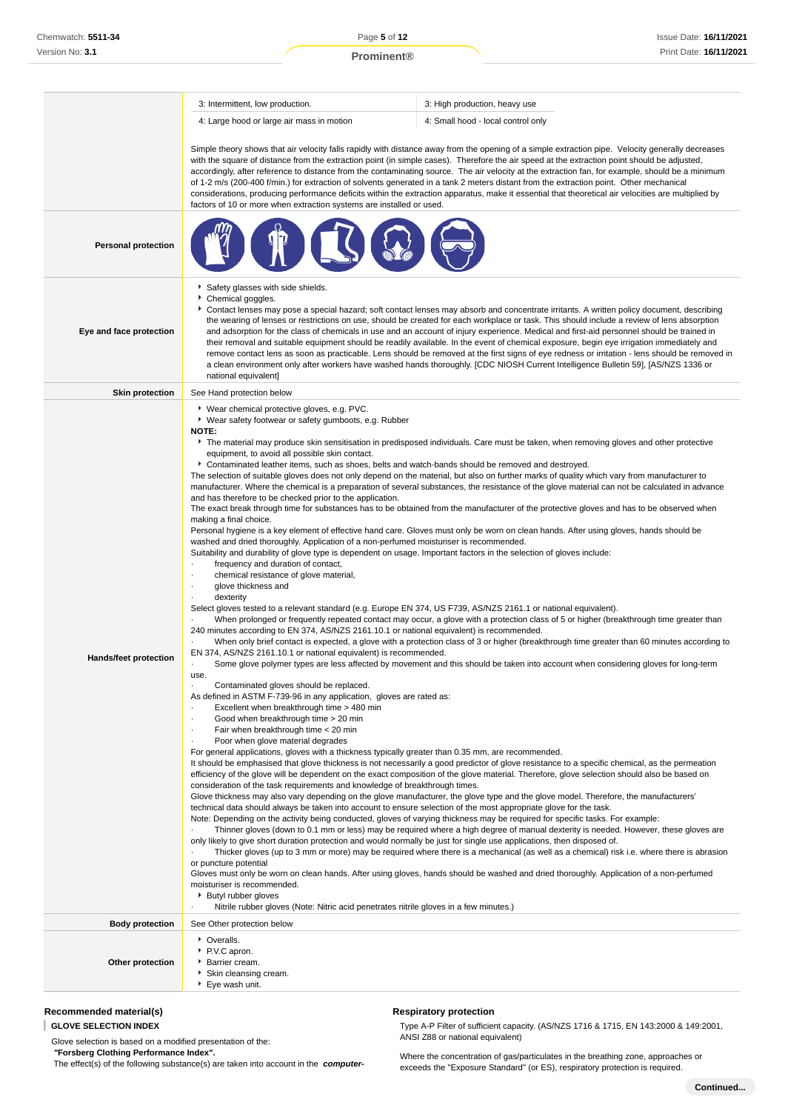|                            | 3: Intermittent, low production.                                                                                                                                                                                                                                                                                                                                                                                                                                                                                                                                                                                                                                                                                                                                                                                                                                                                                                                                                                                                                                                                                                                                                                                                                 | 3: High production, heavy use                                                                                                                                                                                                                                                                                                                                                                                                                                                                                                                                                                                                                                                                                                                                                                                                                                                                                                                                                                                                                                                                                                                                                                                                                                                                                                                                                                                                                                                                                                                                                                                                                                                                                                                                                                                                                                                                                                                                                                                                                                                                                                                                                                                                                                                                                                                                                                                                                                                                                                                                                                                                                                                                                                                                                 |  |
|----------------------------|--------------------------------------------------------------------------------------------------------------------------------------------------------------------------------------------------------------------------------------------------------------------------------------------------------------------------------------------------------------------------------------------------------------------------------------------------------------------------------------------------------------------------------------------------------------------------------------------------------------------------------------------------------------------------------------------------------------------------------------------------------------------------------------------------------------------------------------------------------------------------------------------------------------------------------------------------------------------------------------------------------------------------------------------------------------------------------------------------------------------------------------------------------------------------------------------------------------------------------------------------|-------------------------------------------------------------------------------------------------------------------------------------------------------------------------------------------------------------------------------------------------------------------------------------------------------------------------------------------------------------------------------------------------------------------------------------------------------------------------------------------------------------------------------------------------------------------------------------------------------------------------------------------------------------------------------------------------------------------------------------------------------------------------------------------------------------------------------------------------------------------------------------------------------------------------------------------------------------------------------------------------------------------------------------------------------------------------------------------------------------------------------------------------------------------------------------------------------------------------------------------------------------------------------------------------------------------------------------------------------------------------------------------------------------------------------------------------------------------------------------------------------------------------------------------------------------------------------------------------------------------------------------------------------------------------------------------------------------------------------------------------------------------------------------------------------------------------------------------------------------------------------------------------------------------------------------------------------------------------------------------------------------------------------------------------------------------------------------------------------------------------------------------------------------------------------------------------------------------------------------------------------------------------------------------------------------------------------------------------------------------------------------------------------------------------------------------------------------------------------------------------------------------------------------------------------------------------------------------------------------------------------------------------------------------------------------------------------------------------------------------------------------------------------|--|
|                            | 4: Large hood or large air mass in motion                                                                                                                                                                                                                                                                                                                                                                                                                                                                                                                                                                                                                                                                                                                                                                                                                                                                                                                                                                                                                                                                                                                                                                                                        | 4: Small hood - local control only                                                                                                                                                                                                                                                                                                                                                                                                                                                                                                                                                                                                                                                                                                                                                                                                                                                                                                                                                                                                                                                                                                                                                                                                                                                                                                                                                                                                                                                                                                                                                                                                                                                                                                                                                                                                                                                                                                                                                                                                                                                                                                                                                                                                                                                                                                                                                                                                                                                                                                                                                                                                                                                                                                                                            |  |
|                            | factors of 10 or more when extraction systems are installed or used.                                                                                                                                                                                                                                                                                                                                                                                                                                                                                                                                                                                                                                                                                                                                                                                                                                                                                                                                                                                                                                                                                                                                                                             | Simple theory shows that air velocity falls rapidly with distance away from the opening of a simple extraction pipe. Velocity generally decreases<br>with the square of distance from the extraction point (in simple cases). Therefore the air speed at the extraction point should be adjusted,<br>accordingly, after reference to distance from the contaminating source. The air velocity at the extraction fan, for example, should be a minimum<br>of 1-2 m/s (200-400 f/min.) for extraction of solvents generated in a tank 2 meters distant from the extraction point. Other mechanical<br>considerations, producing performance deficits within the extraction apparatus, make it essential that theoretical air velocities are multiplied by                                                                                                                                                                                                                                                                                                                                                                                                                                                                                                                                                                                                                                                                                                                                                                                                                                                                                                                                                                                                                                                                                                                                                                                                                                                                                                                                                                                                                                                                                                                                                                                                                                                                                                                                                                                                                                                                                                                                                                                                                       |  |
| <b>Personal protection</b> |                                                                                                                                                                                                                                                                                                                                                                                                                                                                                                                                                                                                                                                                                                                                                                                                                                                                                                                                                                                                                                                                                                                                                                                                                                                  |                                                                                                                                                                                                                                                                                                                                                                                                                                                                                                                                                                                                                                                                                                                                                                                                                                                                                                                                                                                                                                                                                                                                                                                                                                                                                                                                                                                                                                                                                                                                                                                                                                                                                                                                                                                                                                                                                                                                                                                                                                                                                                                                                                                                                                                                                                                                                                                                                                                                                                                                                                                                                                                                                                                                                                               |  |
| Eye and face protection    | Safety glasses with side shields.<br>Chemical goggles.<br>national equivalent]                                                                                                                                                                                                                                                                                                                                                                                                                                                                                                                                                                                                                                                                                                                                                                                                                                                                                                                                                                                                                                                                                                                                                                   | Contact lenses may pose a special hazard; soft contact lenses may absorb and concentrate irritants. A written policy document, describing<br>the wearing of lenses or restrictions on use, should be created for each workplace or task. This should include a review of lens absorption<br>and adsorption for the class of chemicals in use and an account of injury experience. Medical and first-aid personnel should be trained in<br>their removal and suitable equipment should be readily available. In the event of chemical exposure, begin eye irrigation immediately and<br>remove contact lens as soon as practicable. Lens should be removed at the first signs of eye redness or irritation - lens should be removed in<br>a clean environment only after workers have washed hands thoroughly. [CDC NIOSH Current Intelligence Bulletin 59], [AS/NZS 1336 or                                                                                                                                                                                                                                                                                                                                                                                                                                                                                                                                                                                                                                                                                                                                                                                                                                                                                                                                                                                                                                                                                                                                                                                                                                                                                                                                                                                                                                                                                                                                                                                                                                                                                                                                                                                                                                                                                                   |  |
| <b>Skin protection</b>     | See Hand protection below                                                                                                                                                                                                                                                                                                                                                                                                                                                                                                                                                                                                                                                                                                                                                                                                                                                                                                                                                                                                                                                                                                                                                                                                                        |                                                                                                                                                                                                                                                                                                                                                                                                                                                                                                                                                                                                                                                                                                                                                                                                                                                                                                                                                                                                                                                                                                                                                                                                                                                                                                                                                                                                                                                                                                                                                                                                                                                                                                                                                                                                                                                                                                                                                                                                                                                                                                                                                                                                                                                                                                                                                                                                                                                                                                                                                                                                                                                                                                                                                                               |  |
| Hands/feet protection      | ▶ Wear chemical protective gloves, e.g. PVC.<br>▶ Wear safety footwear or safety gumboots, e.g. Rubber<br><b>NOTE:</b><br>equipment, to avoid all possible skin contact.<br>and has therefore to be checked prior to the application.<br>making a final choice.<br>washed and dried thoroughly. Application of a non-perfumed moisturiser is recommended.<br>frequency and duration of contact,<br>chemical resistance of glove material,<br>glove thickness and<br>٠<br>dexterity<br>٠<br>240 minutes according to EN 374, AS/NZS 2161.10.1 or national equivalent) is recommended.<br>EN 374, AS/NZS 2161.10.1 or national equivalent) is recommended.<br>use.<br>Contaminated gloves should be replaced.<br>٠<br>As defined in ASTM F-739-96 in any application, gloves are rated as:<br>Excellent when breakthrough time > 480 min<br>Good when breakthrough time > 20 min<br>٠<br>Fair when breakthrough time < 20 min<br>٠<br>Poor when glove material degrades<br>٠<br>For general applications, gloves with a thickness typically greater than 0.35 mm, are recommended.<br>consideration of the task requirements and knowledge of breakthrough times.<br>or puncture potential<br>moisturiser is recommended.<br>▶ Butyl rubber gloves | The material may produce skin sensitisation in predisposed individuals. Care must be taken, when removing gloves and other protective<br>▶ Contaminated leather items, such as shoes, belts and watch-bands should be removed and destroyed.<br>The selection of suitable gloves does not only depend on the material, but also on further marks of quality which vary from manufacturer to<br>manufacturer. Where the chemical is a preparation of several substances, the resistance of the glove material can not be calculated in advance<br>The exact break through time for substances has to be obtained from the manufacturer of the protective gloves and has to be observed when<br>Personal hygiene is a key element of effective hand care. Gloves must only be worn on clean hands. After using gloves, hands should be<br>Suitability and durability of glove type is dependent on usage. Important factors in the selection of gloves include:<br>Select gloves tested to a relevant standard (e.g. Europe EN 374, US F739, AS/NZS 2161.1 or national equivalent).<br>When prolonged or frequently repeated contact may occur, a glove with a protection class of 5 or higher (breakthrough time greater than<br>When only brief contact is expected, a glove with a protection class of 3 or higher (breakthrough time greater than 60 minutes according to<br>Some glove polymer types are less affected by movement and this should be taken into account when considering gloves for long-term<br>It should be emphasised that glove thickness is not necessarily a good predictor of glove resistance to a specific chemical, as the permeation<br>efficiency of the glove will be dependent on the exact composition of the glove material. Therefore, glove selection should also be based on<br>Glove thickness may also vary depending on the glove manufacturer, the glove type and the glove model. Therefore, the manufacturers'<br>technical data should always be taken into account to ensure selection of the most appropriate glove for the task.<br>Note: Depending on the activity being conducted, gloves of varying thickness may be required for specific tasks. For example:<br>Thinner gloves (down to 0.1 mm or less) may be required where a high degree of manual dexterity is needed. However, these gloves are<br>only likely to give short duration protection and would normally be just for single use applications, then disposed of.<br>Thicker gloves (up to 3 mm or more) may be required where there is a mechanical (as well as a chemical) risk i.e. where there is abrasion<br>Gloves must only be worn on clean hands. After using gloves, hands should be washed and dried thoroughly. Application of a non-perfumed |  |
|                            | Nitrile rubber gloves (Note: Nitric acid penetrates nitrile gloves in a few minutes.)<br>$\cdot$                                                                                                                                                                                                                                                                                                                                                                                                                                                                                                                                                                                                                                                                                                                                                                                                                                                                                                                                                                                                                                                                                                                                                 |                                                                                                                                                                                                                                                                                                                                                                                                                                                                                                                                                                                                                                                                                                                                                                                                                                                                                                                                                                                                                                                                                                                                                                                                                                                                                                                                                                                                                                                                                                                                                                                                                                                                                                                                                                                                                                                                                                                                                                                                                                                                                                                                                                                                                                                                                                                                                                                                                                                                                                                                                                                                                                                                                                                                                                               |  |
| <b>Body protection</b>     | See Other protection below                                                                                                                                                                                                                                                                                                                                                                                                                                                                                                                                                                                                                                                                                                                                                                                                                                                                                                                                                                                                                                                                                                                                                                                                                       |                                                                                                                                                                                                                                                                                                                                                                                                                                                                                                                                                                                                                                                                                                                                                                                                                                                                                                                                                                                                                                                                                                                                                                                                                                                                                                                                                                                                                                                                                                                                                                                                                                                                                                                                                                                                                                                                                                                                                                                                                                                                                                                                                                                                                                                                                                                                                                                                                                                                                                                                                                                                                                                                                                                                                                               |  |
| Other protection           | • Overalls.<br>▶ P.V.C apron.<br>Barrier cream.<br>Skin cleansing cream.<br>▶ Eye wash unit.                                                                                                                                                                                                                                                                                                                                                                                                                                                                                                                                                                                                                                                                                                                                                                                                                                                                                                                                                                                                                                                                                                                                                     |                                                                                                                                                                                                                                                                                                                                                                                                                                                                                                                                                                                                                                                                                                                                                                                                                                                                                                                                                                                                                                                                                                                                                                                                                                                                                                                                                                                                                                                                                                                                                                                                                                                                                                                                                                                                                                                                                                                                                                                                                                                                                                                                                                                                                                                                                                                                                                                                                                                                                                                                                                                                                                                                                                                                                                               |  |

### **Recommended material(s)**

### **GLOVE SELECTION INDEX**

Glove selection is based on a modified presentation of the:  **"Forsberg Clothing Performance Index".**

The effect(s) of the following substance(s) are taken into account in the **computer-**

**Respiratory protection**

Type A-P Filter of sufficient capacity. (AS/NZS 1716 & 1715, EN 143:2000 & 149:2001, ANSI Z88 or national equivalent)

Where the concentration of gas/particulates in the breathing zone, approaches or exceeds the "Exposure Standard" (or ES), respiratory protection is required.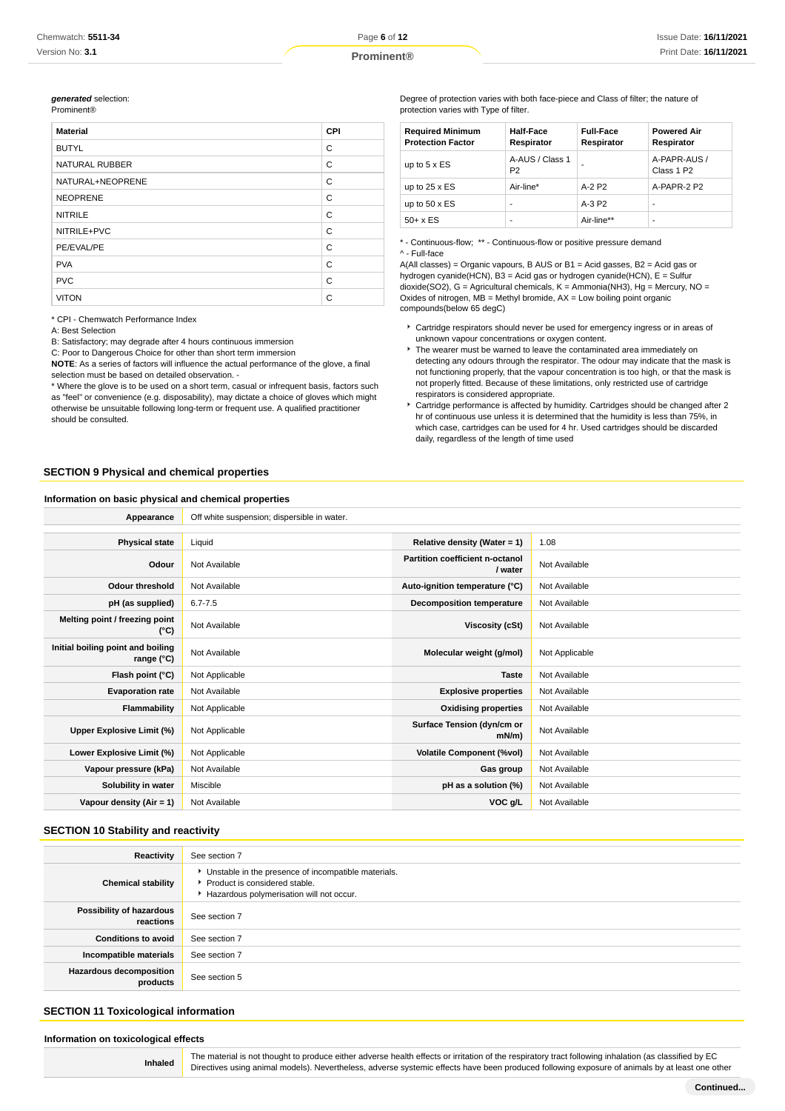### **generated** selection:

| <b>Prominent®</b> |  |
|-------------------|--|

| <b>Material</b>       | <b>CPI</b> |
|-----------------------|------------|
| <b>BUTYL</b>          | C          |
| <b>NATURAL RUBBER</b> | C          |
| NATURAL+NEOPRENE      | C          |
| <b>NEOPRENE</b>       | C          |
| <b>NITRILE</b>        | C          |
| NITRILE+PVC           | C          |
| PE/EVAL/PE            | C          |
| <b>PVA</b>            | C          |
| <b>PVC</b>            | C          |
| <b>VITON</b>          | C          |

\* CPI - Chemwatch Performance Index

A: Best Selection

B: Satisfactory; may degrade after 4 hours continuous immersion

C: Poor to Dangerous Choice for other than short term immersion

**NOTE**: As a series of factors will influence the actual performance of the glove, a final selection must be based on detailed observation. -

\* Where the glove is to be used on a short term, casual or infrequent basis, factors such as "feel" or convenience (e.g. disposability), may dictate a choice of gloves which might otherwise be unsuitable following long-term or frequent use. A qualified practitioner should be consulted.

Degree of protection varies with both face-piece and Class of filter; the nature of protection varies with Type of filter.

| <b>Required Minimum</b><br><b>Protection Factor</b> | <b>Half-Face</b><br>Respirator    | <b>Full-Face</b><br>Respirator | <b>Powered Air</b><br>Respirator       |
|-----------------------------------------------------|-----------------------------------|--------------------------------|----------------------------------------|
| up to $5 \times ES$                                 | A-AUS / Class 1<br>P <sub>2</sub> |                                | A-PAPR-AUS /<br>Class 1 P <sub>2</sub> |
| up to $25 \times ES$                                | Air-line*                         | $A-2P2$                        | A-PAPR-2 P2                            |
| up to $50 \times ES$                                | ۰                                 | $A-3P2$                        | -                                      |
| $50+ x ES$                                          | ۰                                 | Air-line**                     | -                                      |

\* - Continuous-flow; \*\* - Continuous-flow or positive pressure demand ^ - Full-face

A(All classes) = Organic vapours, B AUS or B1 = Acid gasses, B2 = Acid gas or hydrogen cyanide(HCN), B3 = Acid gas or hydrogen cyanide(HCN), E = Sulfur dioxide(SO2), G = Agricultural chemicals, K = Ammonia(NH3), Hg = Mercury, NO = Oxides of nitrogen,  $MB =$  Methyl bromide,  $AX =$  Low boiling point organic compounds(below 65 degC)

- Cartridge respirators should never be used for emergency ingress or in areas of unknown vapour concentrations or oxygen content.
- $\blacktriangleright$  The wearer must be warned to leave the contaminated area immediately on detecting any odours through the respirator. The odour may indicate that the mask is not functioning properly, that the vapour concentration is too high, or that the mask is not properly fitted. Because of these limitations, only restricted use of cartridge respirators is considered appropriate.
- Cartridge performance is affected by humidity. Cartridges should be changed after 2 hr of continuous use unless it is determined that the humidity is less than 75%, in which case, cartridges can be used for 4 hr. Used cartridges should be discarded daily, regardless of the length of time used

### **SECTION 9 Physical and chemical properties**

#### **Information on basic physical and chemical properties**

| Appearance                                      | Off white suspension; dispersible in water. |                                            |                |
|-------------------------------------------------|---------------------------------------------|--------------------------------------------|----------------|
|                                                 |                                             |                                            |                |
| <b>Physical state</b>                           | Liquid                                      | Relative density (Water = $1$ )            | 1.08           |
| Odour                                           | Not Available                               | Partition coefficient n-octanol<br>/ water | Not Available  |
| Odour threshold                                 | Not Available                               | Auto-ignition temperature (°C)             | Not Available  |
| pH (as supplied)                                | $6.7 - 7.5$                                 | Decomposition temperature                  | Not Available  |
| Melting point / freezing point<br>(°C)          | Not Available                               | Viscosity (cSt)                            | Not Available  |
| Initial boiling point and boiling<br>range (°C) | Not Available                               | Molecular weight (g/mol)                   | Not Applicable |
| Flash point (°C)                                | Not Applicable                              | <b>Taste</b>                               | Not Available  |
| <b>Evaporation rate</b>                         | Not Available                               | <b>Explosive properties</b>                | Not Available  |
| Flammability                                    | Not Applicable                              | <b>Oxidising properties</b>                | Not Available  |
| Upper Explosive Limit (%)                       | Not Applicable                              | Surface Tension (dyn/cm or<br>$mN/m$ )     | Not Available  |
| Lower Explosive Limit (%)                       | Not Applicable                              | <b>Volatile Component (%vol)</b>           | Not Available  |
| Vapour pressure (kPa)                           | Not Available                               | Gas group                                  | Not Available  |
| Solubility in water                             | Miscible                                    | pH as a solution (%)                       | Not Available  |
| Vapour density $(Air = 1)$                      | Not Available                               | VOC g/L                                    | Not Available  |

### **SECTION 10 Stability and reactivity**

| Reactivity                                 | See section 7                                                                                                                        |
|--------------------------------------------|--------------------------------------------------------------------------------------------------------------------------------------|
| <b>Chemical stability</b>                  | • Unstable in the presence of incompatible materials.<br>▶ Product is considered stable.<br>Hazardous polymerisation will not occur. |
| Possibility of hazardous<br>reactions      | See section 7                                                                                                                        |
| <b>Conditions to avoid</b>                 | See section 7                                                                                                                        |
| Incompatible materials                     | See section 7                                                                                                                        |
| <b>Hazardous decomposition</b><br>products | See section 5                                                                                                                        |

### **SECTION 11 Toxicological information**

#### **Information on toxicological effects**

**Inhaled**

The material is not thought to produce either adverse health effects or irritation of the respiratory tract following inhalation (as classified by EC Directives using animal models). Nevertheless, adverse systemic effects have been produced following exposure of animals by at least one other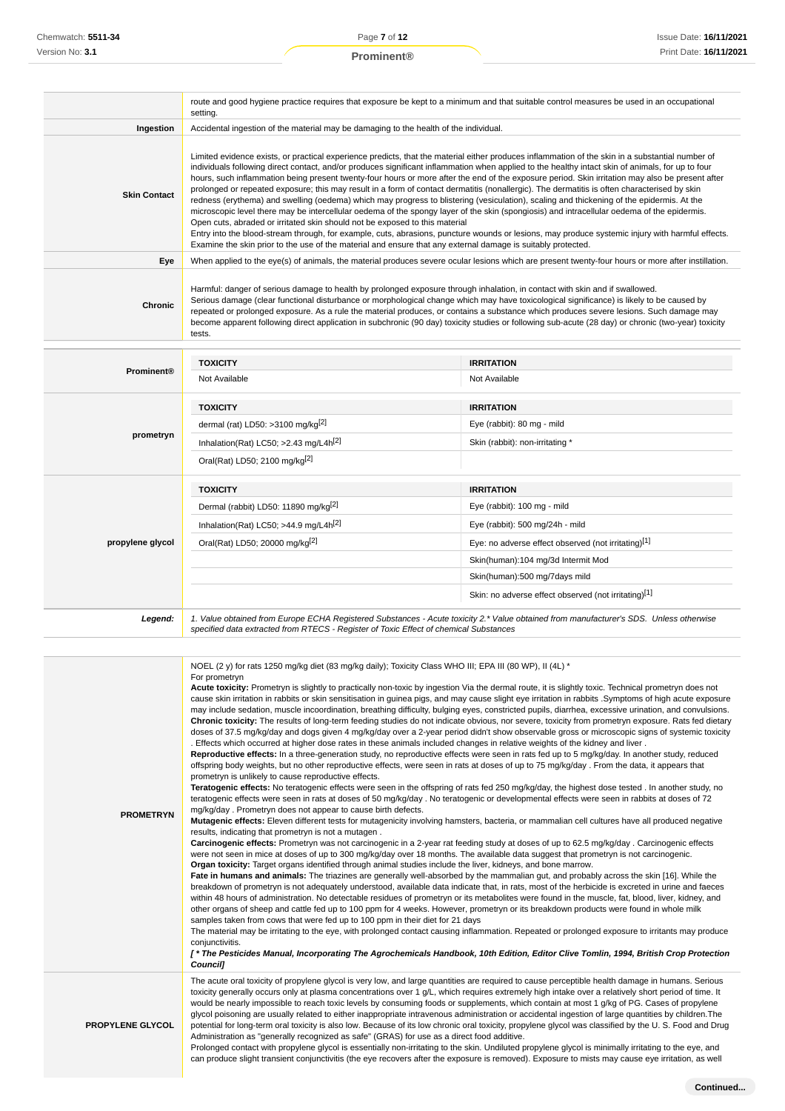|                     | setting.                                                                                                                                                                                                                                                                                                                                                                                                                                                                                                                                                                                                                                                                                                                                                                                                                                                                                                                                                                                                                                                                                                                                                                                                                                                 | route and good hygiene practice requires that exposure be kept to a minimum and that suitable control measures be used in an occupational                                                                                                                                                                                                                                                                                                                                                                                                                                                                                                                                                                                                                                                                                                                                                                                                                                                                                                                                                                                                                                                                                                                                                                                                                                                                                                                                                                                                                                                                                                                                                                                                                                                                                                                                                                                                                                                                                                                                                                                                                                                                                                                                                                                                                                                                                                                                                                                                                                                                                                                                                                     |  |
|---------------------|----------------------------------------------------------------------------------------------------------------------------------------------------------------------------------------------------------------------------------------------------------------------------------------------------------------------------------------------------------------------------------------------------------------------------------------------------------------------------------------------------------------------------------------------------------------------------------------------------------------------------------------------------------------------------------------------------------------------------------------------------------------------------------------------------------------------------------------------------------------------------------------------------------------------------------------------------------------------------------------------------------------------------------------------------------------------------------------------------------------------------------------------------------------------------------------------------------------------------------------------------------|---------------------------------------------------------------------------------------------------------------------------------------------------------------------------------------------------------------------------------------------------------------------------------------------------------------------------------------------------------------------------------------------------------------------------------------------------------------------------------------------------------------------------------------------------------------------------------------------------------------------------------------------------------------------------------------------------------------------------------------------------------------------------------------------------------------------------------------------------------------------------------------------------------------------------------------------------------------------------------------------------------------------------------------------------------------------------------------------------------------------------------------------------------------------------------------------------------------------------------------------------------------------------------------------------------------------------------------------------------------------------------------------------------------------------------------------------------------------------------------------------------------------------------------------------------------------------------------------------------------------------------------------------------------------------------------------------------------------------------------------------------------------------------------------------------------------------------------------------------------------------------------------------------------------------------------------------------------------------------------------------------------------------------------------------------------------------------------------------------------------------------------------------------------------------------------------------------------------------------------------------------------------------------------------------------------------------------------------------------------------------------------------------------------------------------------------------------------------------------------------------------------------------------------------------------------------------------------------------------------------------------------------------------------------------------------------------------------|--|
| Ingestion           | Accidental ingestion of the material may be damaging to the health of the individual.                                                                                                                                                                                                                                                                                                                                                                                                                                                                                                                                                                                                                                                                                                                                                                                                                                                                                                                                                                                                                                                                                                                                                                    |                                                                                                                                                                                                                                                                                                                                                                                                                                                                                                                                                                                                                                                                                                                                                                                                                                                                                                                                                                                                                                                                                                                                                                                                                                                                                                                                                                                                                                                                                                                                                                                                                                                                                                                                                                                                                                                                                                                                                                                                                                                                                                                                                                                                                                                                                                                                                                                                                                                                                                                                                                                                                                                                                                               |  |
| <b>Skin Contact</b> | Limited evidence exists, or practical experience predicts, that the material either produces inflammation of the skin in a substantial number of<br>individuals following direct contact, and/or produces significant inflammation when applied to the healthy intact skin of animals, for up to four<br>hours, such inflammation being present twenty-four hours or more after the end of the exposure period. Skin irritation may also be present after<br>prolonged or repeated exposure; this may result in a form of contact dermatitis (nonallergic). The dermatitis is often characterised by skin<br>redness (erythema) and swelling (oedema) which may progress to blistering (vesiculation), scaling and thickening of the epidermis. At the<br>microscopic level there may be intercellular oedema of the spongy layer of the skin (spongiosis) and intracellular oedema of the epidermis.<br>Open cuts, abraded or irritated skin should not be exposed to this material<br>Entry into the blood-stream through, for example, cuts, abrasions, puncture wounds or lesions, may produce systemic injury with harmful effects.<br>Examine the skin prior to the use of the material and ensure that any external damage is suitably protected. |                                                                                                                                                                                                                                                                                                                                                                                                                                                                                                                                                                                                                                                                                                                                                                                                                                                                                                                                                                                                                                                                                                                                                                                                                                                                                                                                                                                                                                                                                                                                                                                                                                                                                                                                                                                                                                                                                                                                                                                                                                                                                                                                                                                                                                                                                                                                                                                                                                                                                                                                                                                                                                                                                                               |  |
| Eye                 |                                                                                                                                                                                                                                                                                                                                                                                                                                                                                                                                                                                                                                                                                                                                                                                                                                                                                                                                                                                                                                                                                                                                                                                                                                                          | When applied to the eye(s) of animals, the material produces severe ocular lesions which are present twenty-four hours or more after instillation.                                                                                                                                                                                                                                                                                                                                                                                                                                                                                                                                                                                                                                                                                                                                                                                                                                                                                                                                                                                                                                                                                                                                                                                                                                                                                                                                                                                                                                                                                                                                                                                                                                                                                                                                                                                                                                                                                                                                                                                                                                                                                                                                                                                                                                                                                                                                                                                                                                                                                                                                                            |  |
| Chronic             | tests.                                                                                                                                                                                                                                                                                                                                                                                                                                                                                                                                                                                                                                                                                                                                                                                                                                                                                                                                                                                                                                                                                                                                                                                                                                                   | Harmful: danger of serious damage to health by prolonged exposure through inhalation, in contact with skin and if swallowed.<br>Serious damage (clear functional disturbance or morphological change which may have toxicological significance) is likely to be caused by<br>repeated or prolonged exposure. As a rule the material produces, or contains a substance which produces severe lesions. Such damage may<br>become apparent following direct application in subchronic (90 day) toxicity studies or following sub-acute (28 day) or chronic (two-year) toxicity                                                                                                                                                                                                                                                                                                                                                                                                                                                                                                                                                                                                                                                                                                                                                                                                                                                                                                                                                                                                                                                                                                                                                                                                                                                                                                                                                                                                                                                                                                                                                                                                                                                                                                                                                                                                                                                                                                                                                                                                                                                                                                                                   |  |
|                     |                                                                                                                                                                                                                                                                                                                                                                                                                                                                                                                                                                                                                                                                                                                                                                                                                                                                                                                                                                                                                                                                                                                                                                                                                                                          |                                                                                                                                                                                                                                                                                                                                                                                                                                                                                                                                                                                                                                                                                                                                                                                                                                                                                                                                                                                                                                                                                                                                                                                                                                                                                                                                                                                                                                                                                                                                                                                                                                                                                                                                                                                                                                                                                                                                                                                                                                                                                                                                                                                                                                                                                                                                                                                                                                                                                                                                                                                                                                                                                                               |  |
| <b>Prominent®</b>   | <b>TOXICITY</b>                                                                                                                                                                                                                                                                                                                                                                                                                                                                                                                                                                                                                                                                                                                                                                                                                                                                                                                                                                                                                                                                                                                                                                                                                                          | <b>IRRITATION</b>                                                                                                                                                                                                                                                                                                                                                                                                                                                                                                                                                                                                                                                                                                                                                                                                                                                                                                                                                                                                                                                                                                                                                                                                                                                                                                                                                                                                                                                                                                                                                                                                                                                                                                                                                                                                                                                                                                                                                                                                                                                                                                                                                                                                                                                                                                                                                                                                                                                                                                                                                                                                                                                                                             |  |
|                     | Not Available                                                                                                                                                                                                                                                                                                                                                                                                                                                                                                                                                                                                                                                                                                                                                                                                                                                                                                                                                                                                                                                                                                                                                                                                                                            | Not Available                                                                                                                                                                                                                                                                                                                                                                                                                                                                                                                                                                                                                                                                                                                                                                                                                                                                                                                                                                                                                                                                                                                                                                                                                                                                                                                                                                                                                                                                                                                                                                                                                                                                                                                                                                                                                                                                                                                                                                                                                                                                                                                                                                                                                                                                                                                                                                                                                                                                                                                                                                                                                                                                                                 |  |
|                     | <b>TOXICITY</b>                                                                                                                                                                                                                                                                                                                                                                                                                                                                                                                                                                                                                                                                                                                                                                                                                                                                                                                                                                                                                                                                                                                                                                                                                                          | <b>IRRITATION</b>                                                                                                                                                                                                                                                                                                                                                                                                                                                                                                                                                                                                                                                                                                                                                                                                                                                                                                                                                                                                                                                                                                                                                                                                                                                                                                                                                                                                                                                                                                                                                                                                                                                                                                                                                                                                                                                                                                                                                                                                                                                                                                                                                                                                                                                                                                                                                                                                                                                                                                                                                                                                                                                                                             |  |
|                     | dermal (rat) LD50: >3100 mg/kg $[2]$                                                                                                                                                                                                                                                                                                                                                                                                                                                                                                                                                                                                                                                                                                                                                                                                                                                                                                                                                                                                                                                                                                                                                                                                                     | Eye (rabbit): 80 mg - mild                                                                                                                                                                                                                                                                                                                                                                                                                                                                                                                                                                                                                                                                                                                                                                                                                                                                                                                                                                                                                                                                                                                                                                                                                                                                                                                                                                                                                                                                                                                                                                                                                                                                                                                                                                                                                                                                                                                                                                                                                                                                                                                                                                                                                                                                                                                                                                                                                                                                                                                                                                                                                                                                                    |  |
| prometryn           | Inhalation(Rat) LC50; >2.43 mg/L4h <sup>[2]</sup>                                                                                                                                                                                                                                                                                                                                                                                                                                                                                                                                                                                                                                                                                                                                                                                                                                                                                                                                                                                                                                                                                                                                                                                                        | Skin (rabbit): non-irritating *                                                                                                                                                                                                                                                                                                                                                                                                                                                                                                                                                                                                                                                                                                                                                                                                                                                                                                                                                                                                                                                                                                                                                                                                                                                                                                                                                                                                                                                                                                                                                                                                                                                                                                                                                                                                                                                                                                                                                                                                                                                                                                                                                                                                                                                                                                                                                                                                                                                                                                                                                                                                                                                                               |  |
|                     | Oral(Rat) LD50; 2100 mg/kg <sup>[2]</sup>                                                                                                                                                                                                                                                                                                                                                                                                                                                                                                                                                                                                                                                                                                                                                                                                                                                                                                                                                                                                                                                                                                                                                                                                                |                                                                                                                                                                                                                                                                                                                                                                                                                                                                                                                                                                                                                                                                                                                                                                                                                                                                                                                                                                                                                                                                                                                                                                                                                                                                                                                                                                                                                                                                                                                                                                                                                                                                                                                                                                                                                                                                                                                                                                                                                                                                                                                                                                                                                                                                                                                                                                                                                                                                                                                                                                                                                                                                                                               |  |
|                     | <b>TOXICITY</b>                                                                                                                                                                                                                                                                                                                                                                                                                                                                                                                                                                                                                                                                                                                                                                                                                                                                                                                                                                                                                                                                                                                                                                                                                                          | <b>IRRITATION</b>                                                                                                                                                                                                                                                                                                                                                                                                                                                                                                                                                                                                                                                                                                                                                                                                                                                                                                                                                                                                                                                                                                                                                                                                                                                                                                                                                                                                                                                                                                                                                                                                                                                                                                                                                                                                                                                                                                                                                                                                                                                                                                                                                                                                                                                                                                                                                                                                                                                                                                                                                                                                                                                                                             |  |
|                     | Dermal (rabbit) LD50: 11890 mg/kg <sup>[2]</sup>                                                                                                                                                                                                                                                                                                                                                                                                                                                                                                                                                                                                                                                                                                                                                                                                                                                                                                                                                                                                                                                                                                                                                                                                         | Eye (rabbit): 100 mg - mild                                                                                                                                                                                                                                                                                                                                                                                                                                                                                                                                                                                                                                                                                                                                                                                                                                                                                                                                                                                                                                                                                                                                                                                                                                                                                                                                                                                                                                                                                                                                                                                                                                                                                                                                                                                                                                                                                                                                                                                                                                                                                                                                                                                                                                                                                                                                                                                                                                                                                                                                                                                                                                                                                   |  |
|                     | Inhalation(Rat) LC50; $>44.9$ mg/L4h <sup>[2]</sup>                                                                                                                                                                                                                                                                                                                                                                                                                                                                                                                                                                                                                                                                                                                                                                                                                                                                                                                                                                                                                                                                                                                                                                                                      | Eye (rabbit): 500 mg/24h - mild                                                                                                                                                                                                                                                                                                                                                                                                                                                                                                                                                                                                                                                                                                                                                                                                                                                                                                                                                                                                                                                                                                                                                                                                                                                                                                                                                                                                                                                                                                                                                                                                                                                                                                                                                                                                                                                                                                                                                                                                                                                                                                                                                                                                                                                                                                                                                                                                                                                                                                                                                                                                                                                                               |  |
| propylene glycol    | Oral(Rat) LD50; 20000 mg/kg <sup>[2]</sup>                                                                                                                                                                                                                                                                                                                                                                                                                                                                                                                                                                                                                                                                                                                                                                                                                                                                                                                                                                                                                                                                                                                                                                                                               | Eye: no adverse effect observed (not irritating)[1]                                                                                                                                                                                                                                                                                                                                                                                                                                                                                                                                                                                                                                                                                                                                                                                                                                                                                                                                                                                                                                                                                                                                                                                                                                                                                                                                                                                                                                                                                                                                                                                                                                                                                                                                                                                                                                                                                                                                                                                                                                                                                                                                                                                                                                                                                                                                                                                                                                                                                                                                                                                                                                                           |  |
|                     |                                                                                                                                                                                                                                                                                                                                                                                                                                                                                                                                                                                                                                                                                                                                                                                                                                                                                                                                                                                                                                                                                                                                                                                                                                                          | Skin(human):104 mg/3d Intermit Mod                                                                                                                                                                                                                                                                                                                                                                                                                                                                                                                                                                                                                                                                                                                                                                                                                                                                                                                                                                                                                                                                                                                                                                                                                                                                                                                                                                                                                                                                                                                                                                                                                                                                                                                                                                                                                                                                                                                                                                                                                                                                                                                                                                                                                                                                                                                                                                                                                                                                                                                                                                                                                                                                            |  |
|                     |                                                                                                                                                                                                                                                                                                                                                                                                                                                                                                                                                                                                                                                                                                                                                                                                                                                                                                                                                                                                                                                                                                                                                                                                                                                          | Skin(human):500 mg/7days mild                                                                                                                                                                                                                                                                                                                                                                                                                                                                                                                                                                                                                                                                                                                                                                                                                                                                                                                                                                                                                                                                                                                                                                                                                                                                                                                                                                                                                                                                                                                                                                                                                                                                                                                                                                                                                                                                                                                                                                                                                                                                                                                                                                                                                                                                                                                                                                                                                                                                                                                                                                                                                                                                                 |  |
|                     |                                                                                                                                                                                                                                                                                                                                                                                                                                                                                                                                                                                                                                                                                                                                                                                                                                                                                                                                                                                                                                                                                                                                                                                                                                                          | Skin: no adverse effect observed (not irritating)[1]                                                                                                                                                                                                                                                                                                                                                                                                                                                                                                                                                                                                                                                                                                                                                                                                                                                                                                                                                                                                                                                                                                                                                                                                                                                                                                                                                                                                                                                                                                                                                                                                                                                                                                                                                                                                                                                                                                                                                                                                                                                                                                                                                                                                                                                                                                                                                                                                                                                                                                                                                                                                                                                          |  |
| Legend:             | specified data extracted from RTECS - Register of Toxic Effect of chemical Substances                                                                                                                                                                                                                                                                                                                                                                                                                                                                                                                                                                                                                                                                                                                                                                                                                                                                                                                                                                                                                                                                                                                                                                    | 1. Value obtained from Europe ECHA Registered Substances - Acute toxicity 2.* Value obtained from manufacturer's SDS. Unless otherwise                                                                                                                                                                                                                                                                                                                                                                                                                                                                                                                                                                                                                                                                                                                                                                                                                                                                                                                                                                                                                                                                                                                                                                                                                                                                                                                                                                                                                                                                                                                                                                                                                                                                                                                                                                                                                                                                                                                                                                                                                                                                                                                                                                                                                                                                                                                                                                                                                                                                                                                                                                        |  |
| <b>PROMETRYN</b>    | NOEL (2 y) for rats 1250 mg/kg diet (83 mg/kg daily); Toxicity Class WHO III; EPA III (80 WP), II (4L) *<br>For prometryn<br>prometryn is unlikely to cause reproductive effects.<br>mg/kg/day. Prometryn does not appear to cause birth defects.<br>results, indicating that prometryn is not a mutagen.<br>Organ toxicity: Target organs identified through animal studies include the liver, kidneys, and bone marrow.<br>samples taken from cows that were fed up to 100 ppm in their diet for 21 days                                                                                                                                                                                                                                                                                                                                                                                                                                                                                                                                                                                                                                                                                                                                               | Acute toxicity: Prometryn is slightly to practically non-toxic by ingestion Via the dermal route, it is slightly toxic. Technical prometryn does not<br>cause skin irritation in rabbits or skin sensitisation in guinea pigs, and may cause slight eye irritation in rabbits . Symptoms of high acute exposure<br>may include sedation, muscle incoordination, breathing difficulty, bulging eyes, constricted pupils, diarrhea, excessive urination, and convulsions.<br>Chronic toxicity: The results of long-term feeding studies do not indicate obvious, nor severe, toxicity from prometryn exposure. Rats fed dietary<br>doses of 37.5 mg/kg/day and dogs given 4 mg/kg/day over a 2-year period didn't show observable gross or microscopic signs of systemic toxicity<br>. Effects which occurred at higher dose rates in these animals included changes in relative weights of the kidney and liver.<br>Reproductive effects: In a three-generation study, no reproductive effects were seen in rats fed up to 5 mg/kg/day. In another study, reduced<br>offspring body weights, but no other reproductive effects, were seen in rats at doses of up to 75 mg/kg/day. From the data, it appears that<br>Teratogenic effects: No teratogenic effects were seen in the offspring of rats fed 250 mg/kg/day, the highest dose tested. In another study, no<br>teratogenic effects were seen in rats at doses of 50 mg/kg/day . No teratogenic or developmental effects were seen in rabbits at doses of 72<br>Mutagenic effects: Eleven different tests for mutagenicity involving hamsters, bacteria, or mammalian cell cultures have all produced negative<br>Carcinogenic effects: Prometryn was not carcinogenic in a 2-year rat feeding study at doses of up to 62.5 mg/kg/day . Carcinogenic effects<br>were not seen in mice at doses of up to 300 mg/kg/day over 18 months. The available data suggest that prometryn is not carcinogenic.<br>Fate in humans and animals: The triazines are generally well-absorbed by the mammalian gut, and probably across the skin [16]. While the<br>breakdown of prometryn is not adequately understood, available data indicate that, in rats, most of the herbicide is excreted in urine and faeces<br>within 48 hours of administration. No detectable residues of prometryn or its metabolites were found in the muscle, fat, blood, liver, kidney, and<br>other organs of sheep and cattle fed up to 100 ppm for 4 weeks. However, prometryn or its breakdown products were found in whole milk<br>The material may be irritating to the eye, with prolonged contact causing inflammation. Repeated or prolonged exposure to irritants may produce |  |

conjunctivitis.

**[ \* The Pesticides Manual, Incorporating The Agrochemicals Handbook, 10th Edition, Editor Clive Tomlin, 1994, British Crop Protection Council]**

The acute oral toxicity of propylene glycol is very low, and large quantities are required to cause perceptible health damage in humans. Serious toxicity generally occurs only at plasma concentrations over 1 g/L, which requires extremely high intake over a relatively short period of time. It would be nearly impossible to reach toxic levels by consuming foods or supplements, which contain at most 1 g/kg of PG. Cases of propylene glycol poisoning are usually related to either inappropriate intravenous administration or accidental ingestion of large quantities by children.The potential for long-term oral toxicity is also low. Because of its low chronic oral toxicity, propylene glycol was classified by the U. S. Food and Drug Administration as "generally recognized as safe" (GRAS) for use as a direct food additive.

**PROPYLENE GLYCOL**

Prolonged contact with propylene glycol is essentially non-irritating to the skin. Undiluted propylene glycol is minimally irritating to the eye, and can produce slight transient conjunctivitis (the eye recovers after the exposure is removed). Exposure to mists may cause eye irritation, as well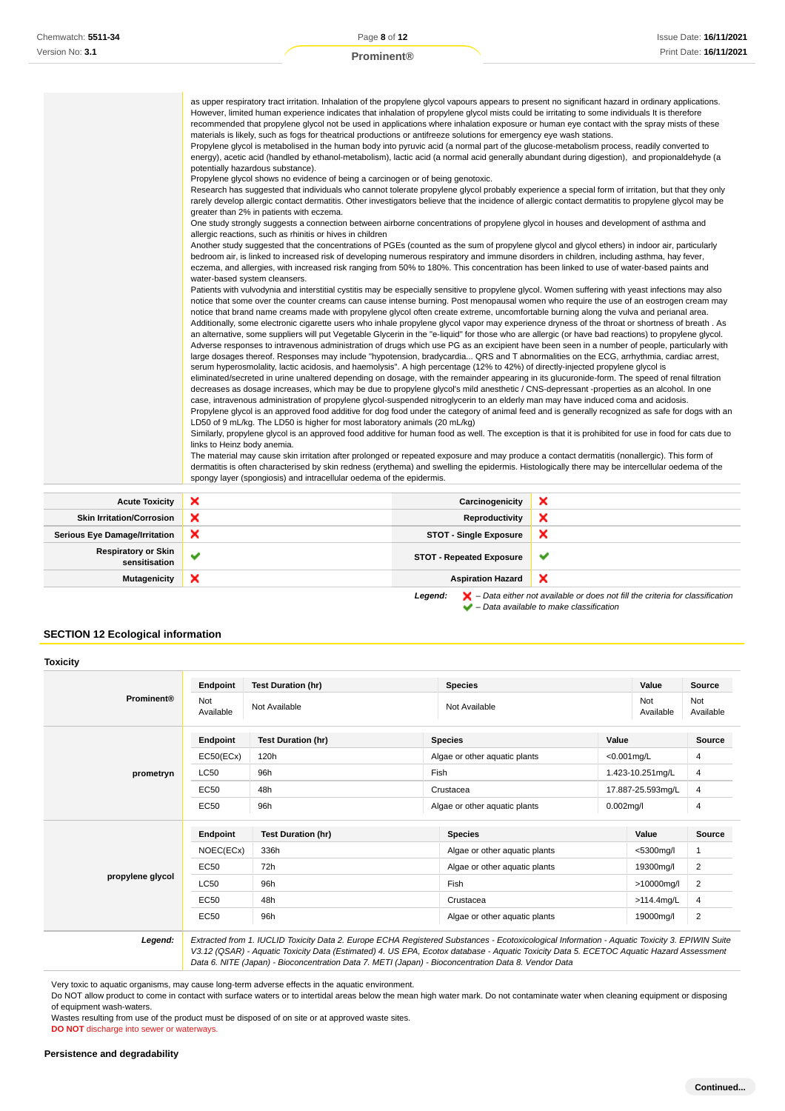|                                  | as upper respiratory tract irritation. Inhalation of the propylene glycol vapours appears to present no significant hazard in ordinary applications.<br>However, limited human experience indicates that inhalation of propylene glycol mists could be irritating to some individuals It is therefore<br>recommended that propylene glycol not be used in applications where inhalation exposure or human eye contact with the spray mists of these<br>materials is likely, such as fogs for theatrical productions or antifreeze solutions for emergency eye wash stations.<br>Propylene glycol is metabolised in the human body into pyruvic acid (a normal part of the glucose-metabolism process, readily converted to<br>energy), acetic acid (handled by ethanol-metabolism), lactic acid (a normal acid generally abundant during digestion), and propionaldehyde (a<br>potentially hazardous substance).<br>Propylene glycol shows no evidence of being a carcinogen or of being genotoxic.<br>Research has suggested that individuals who cannot tolerate propylene glycol probably experience a special form of irritation, but that they only<br>rarely develop allergic contact dermatitis. Other investigators believe that the incidence of allergic contact dermatitis to propylene glycol may be<br>greater than 2% in patients with eczema.<br>One study strongly suggests a connection between airborne concentrations of propylene glycol in houses and development of asthma and<br>allergic reactions, such as rhinitis or hives in children<br>Another study suggested that the concentrations of PGEs (counted as the sum of propylene glycol and glycol ethers) in indoor air, particularly<br>bedroom air, is linked to increased risk of developing numerous respiratory and immune disorders in children, including asthma, hay fever,<br>eczema, and allergies, with increased risk ranging from 50% to 180%. This concentration has been linked to use of water-based paints and<br>water-based system cleansers.<br>Patients with vulvodynia and interstitial cystitis may be especially sensitive to propylene glycol. Women suffering with yeast infections may also<br>notice that some over the counter creams can cause intense burning. Post menopausal women who require the use of an eostrogen cream may<br>notice that brand name creams made with propylene glycol often create extreme, uncomfortable burning along the vulva and perianal area.<br>Additionally, some electronic cigarette users who inhale propylene glycol vapor may experience dryness of the throat or shortness of breath. As<br>an alternative, some suppliers will put Vegetable Glycerin in the "e-liquid" for those who are allergic (or have bad reactions) to propylene glycol.<br>Adverse responses to intravenous administration of drugs which use PG as an excipient have been seen in a number of people, particularly with<br>large dosages thereof. Responses may include "hypotension, bradycardia QRS and T abnormalities on the ECG, arrhythmia, cardiac arrest,<br>serum hyperosmolality, lactic acidosis, and haemolysis". A high percentage (12% to 42%) of directly-injected propylene glycol is<br>eliminated/secreted in urine unaltered depending on dosage, with the remainder appearing in its glucuronide-form. The speed of renal filtration<br>decreases as dosage increases, which may be due to propylene glycol's mild anesthetic / CNS-depressant -properties as an alcohol. In one<br>case, intravenous administration of propylene glycol-suspended nitroglycerin to an elderly man may have induced coma and acidosis.<br>Propylene glycol is an approved food additive for dog food under the category of animal feed and is generally recognized as safe for dogs with an<br>LD50 of 9 mL/kg. The LD50 is higher for most laboratory animals (20 mL/kg)<br>Similarly, propylene glycol is an approved food additive for human food as well. The exception is that it is prohibited for use in food for cats due to<br>links to Heinz body anemia.<br>The material may cause skin irritation after prolonged or repeated exposure and may produce a contact dermatitis (nonallergic). This form of<br>dermatitis is often characterised by skin redness (erythema) and swelling the epidermis. Histologically there may be intercellular oedema of the |                 |   |
|----------------------------------|------------------------------------------------------------------------------------------------------------------------------------------------------------------------------------------------------------------------------------------------------------------------------------------------------------------------------------------------------------------------------------------------------------------------------------------------------------------------------------------------------------------------------------------------------------------------------------------------------------------------------------------------------------------------------------------------------------------------------------------------------------------------------------------------------------------------------------------------------------------------------------------------------------------------------------------------------------------------------------------------------------------------------------------------------------------------------------------------------------------------------------------------------------------------------------------------------------------------------------------------------------------------------------------------------------------------------------------------------------------------------------------------------------------------------------------------------------------------------------------------------------------------------------------------------------------------------------------------------------------------------------------------------------------------------------------------------------------------------------------------------------------------------------------------------------------------------------------------------------------------------------------------------------------------------------------------------------------------------------------------------------------------------------------------------------------------------------------------------------------------------------------------------------------------------------------------------------------------------------------------------------------------------------------------------------------------------------------------------------------------------------------------------------------------------------------------------------------------------------------------------------------------------------------------------------------------------------------------------------------------------------------------------------------------------------------------------------------------------------------------------------------------------------------------------------------------------------------------------------------------------------------------------------------------------------------------------------------------------------------------------------------------------------------------------------------------------------------------------------------------------------------------------------------------------------------------------------------------------------------------------------------------------------------------------------------------------------------------------------------------------------------------------------------------------------------------------------------------------------------------------------------------------------------------------------------------------------------------------------------------------------------------------------------------------------------------------------------------------------------------------------------------------------------------------------------------------------------------------------------------------------------------------------------------------------------------------------------------------------------------------------------------------------------------------------------------------------------------------------------------------------------------------------------------------------------------------------------------------------------------------------------------------------------------------------------------------------------------------------------------------------------------------------|-----------------|---|
|                                  | spongy layer (spongiosis) and intracellular oedema of the epidermis.                                                                                                                                                                                                                                                                                                                                                                                                                                                                                                                                                                                                                                                                                                                                                                                                                                                                                                                                                                                                                                                                                                                                                                                                                                                                                                                                                                                                                                                                                                                                                                                                                                                                                                                                                                                                                                                                                                                                                                                                                                                                                                                                                                                                                                                                                                                                                                                                                                                                                                                                                                                                                                                                                                                                                                                                                                                                                                                                                                                                                                                                                                                                                                                                                                                                                                                                                                                                                                                                                                                                                                                                                                                                                                                                                                                                                                                                                                                                                                                                                                                                                                                                                                                                                                                                                                                                       |                 |   |
|                                  |                                                                                                                                                                                                                                                                                                                                                                                                                                                                                                                                                                                                                                                                                                                                                                                                                                                                                                                                                                                                                                                                                                                                                                                                                                                                                                                                                                                                                                                                                                                                                                                                                                                                                                                                                                                                                                                                                                                                                                                                                                                                                                                                                                                                                                                                                                                                                                                                                                                                                                                                                                                                                                                                                                                                                                                                                                                                                                                                                                                                                                                                                                                                                                                                                                                                                                                                                                                                                                                                                                                                                                                                                                                                                                                                                                                                                                                                                                                                                                                                                                                                                                                                                                                                                                                                                                                                                                                                            |                 |   |
| <b>Acute Toxicity</b>            | ×                                                                                                                                                                                                                                                                                                                                                                                                                                                                                                                                                                                                                                                                                                                                                                                                                                                                                                                                                                                                                                                                                                                                                                                                                                                                                                                                                                                                                                                                                                                                                                                                                                                                                                                                                                                                                                                                                                                                                                                                                                                                                                                                                                                                                                                                                                                                                                                                                                                                                                                                                                                                                                                                                                                                                                                                                                                                                                                                                                                                                                                                                                                                                                                                                                                                                                                                                                                                                                                                                                                                                                                                                                                                                                                                                                                                                                                                                                                                                                                                                                                                                                                                                                                                                                                                                                                                                                                                          | Carcinogenicity | × |
| <b>Skin Irritation/Corrosion</b> | ×                                                                                                                                                                                                                                                                                                                                                                                                                                                                                                                                                                                                                                                                                                                                                                                                                                                                                                                                                                                                                                                                                                                                                                                                                                                                                                                                                                                                                                                                                                                                                                                                                                                                                                                                                                                                                                                                                                                                                                                                                                                                                                                                                                                                                                                                                                                                                                                                                                                                                                                                                                                                                                                                                                                                                                                                                                                                                                                                                                                                                                                                                                                                                                                                                                                                                                                                                                                                                                                                                                                                                                                                                                                                                                                                                                                                                                                                                                                                                                                                                                                                                                                                                                                                                                                                                                                                                                                                          | Reproductivity  | × |
|                                  |                                                                                                                                                                                                                                                                                                                                                                                                                                                                                                                                                                                                                                                                                                                                                                                                                                                                                                                                                                                                                                                                                                                                                                                                                                                                                                                                                                                                                                                                                                                                                                                                                                                                                                                                                                                                                                                                                                                                                                                                                                                                                                                                                                                                                                                                                                                                                                                                                                                                                                                                                                                                                                                                                                                                                                                                                                                                                                                                                                                                                                                                                                                                                                                                                                                                                                                                                                                                                                                                                                                                                                                                                                                                                                                                                                                                                                                                                                                                                                                                                                                                                                                                                                                                                                                                                                                                                                                                            |                 |   |

| <b>Skin Irritation/Corrosion</b>            | ∼ | Reproductivity                  | ∽ |
|---------------------------------------------|---|---------------------------------|---|
| <b>Serious Eye Damage/Irritation</b>        |   | <b>STOT - Single Exposure</b>   | ↗ |
| <b>Respiratory or Skin</b><br>sensitisation |   | <b>STOT - Repeated Exposure</b> |   |
| <b>Mutagenicity</b>                         | ⌒ | <b>Aspiration Hazard</b>        | ⌒ |
|                                             |   |                                 |   |

Legend:  $\blacktriangleright$  - Data either not available or does not fill the criteria for classification  $\blacktriangleright$  – Data available to make classification

### **SECTION 12 Ecological information**

|                   | Endpoint         | <b>Test Duration (hr)</b>                                                                                                                                                                                                                                                                                                                                                                       |           | <b>Species</b>                |                   | Value            | Source                  |
|-------------------|------------------|-------------------------------------------------------------------------------------------------------------------------------------------------------------------------------------------------------------------------------------------------------------------------------------------------------------------------------------------------------------------------------------------------|-----------|-------------------------------|-------------------|------------------|-------------------------|
| <b>Prominent®</b> | Not<br>Available | Not Available                                                                                                                                                                                                                                                                                                                                                                                   |           | Not Available                 |                   | Not<br>Available | Not<br>Available        |
|                   | Endpoint         | <b>Test Duration (hr)</b>                                                                                                                                                                                                                                                                                                                                                                       |           | <b>Species</b>                | Value             |                  | Source                  |
|                   | EC50(ECx)        | 120h                                                                                                                                                                                                                                                                                                                                                                                            |           | Algae or other aquatic plants |                   | $< 0.001$ mg/L   | 4                       |
| prometryn         | <b>LC50</b>      | 96h                                                                                                                                                                                                                                                                                                                                                                                             | Fish      |                               | 1.423-10.251mg/L  | 4                |                         |
|                   | EC50             | 48h                                                                                                                                                                                                                                                                                                                                                                                             | Crustacea |                               | 17.887-25.593mg/L | 4                |                         |
|                   | EC50             | 96h                                                                                                                                                                                                                                                                                                                                                                                             |           | Algae or other aquatic plants | $0.002$ mg/l      |                  | 4                       |
|                   | Endpoint         | <b>Test Duration (hr)</b>                                                                                                                                                                                                                                                                                                                                                                       |           | <b>Species</b>                |                   | Value            | <b>Source</b>           |
|                   | NOEC(ECx)        | 336h                                                                                                                                                                                                                                                                                                                                                                                            |           | Algae or other aquatic plants |                   | <5300mg/l        | $\mathbf{1}$            |
|                   | <b>EC50</b>      | 72h                                                                                                                                                                                                                                                                                                                                                                                             |           | Algae or other aquatic plants |                   | 19300mg/l        | 2                       |
| propylene glycol  | <b>LC50</b>      | 96h                                                                                                                                                                                                                                                                                                                                                                                             |           | Fish                          |                   | >10000mg/l       | 2                       |
|                   | EC50             | 48h<br>Crustacea                                                                                                                                                                                                                                                                                                                                                                                |           |                               |                   | >114.4mg/L       | 4                       |
|                   | EC50             | 96h                                                                                                                                                                                                                                                                                                                                                                                             |           | Algae or other aquatic plants |                   | 19000mg/l        | $\overline{\mathbf{c}}$ |
| Legend:           |                  | Extracted from 1. IUCLID Toxicity Data 2. Europe ECHA Registered Substances - Ecotoxicological Information - Aquatic Toxicity 3. EPIWIN Suite<br>V3.12 (QSAR) - Aquatic Toxicity Data (Estimated) 4. US EPA, Ecotox database - Aquatic Toxicity Data 5. ECETOC Aquatic Hazard Assessment<br>Data 6. NITE (Japan) - Bioconcentration Data 7. METI (Japan) - Bioconcentration Data 8. Vendor Data |           |                               |                   |                  |                         |

Very toxic to aquatic organisms, may cause long-term adverse effects in the aquatic environment.

Do NOT allow product to come in contact with surface waters or to intertidal areas below the mean high water mark. Do not contaminate water when cleaning equipment or disposing of equipment wash-waters.

Wastes resulting from use of the product must be disposed of on site or at approved waste sites. **DO NOT** discharge into sewer or waterways.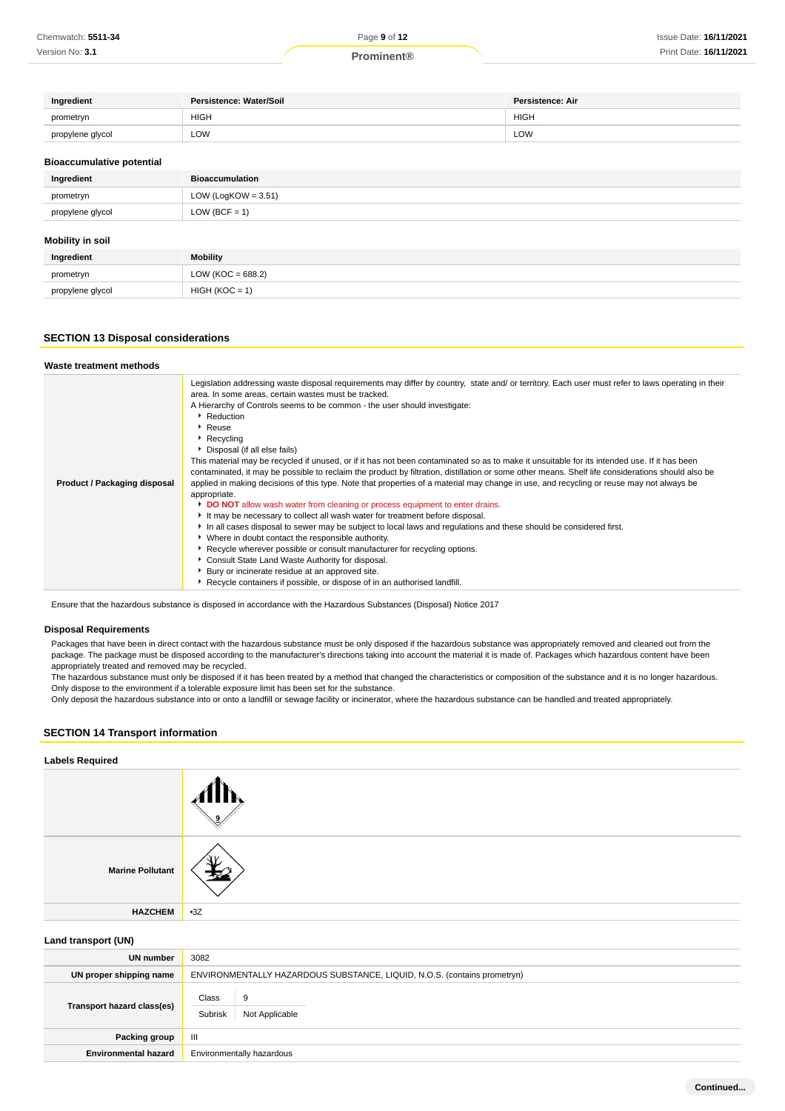| Ingredient       | Persistence: Water/Soil | <b>Persistence: Air</b> |
|------------------|-------------------------|-------------------------|
| prometryn        | <b>HIGH</b>             | <b>HIGH</b>             |
| propylene glycol | LOW                     | ∟OW                     |

#### **Bioaccumulative potential**

| Ingredient       | <b>Bioaccumulation</b> |
|------------------|------------------------|
| prometryn        | LOW (LogKOW = $3.51$ ) |
| propylene glycol | $LOW (BCF = 1)$        |
|                  |                        |

### **Mobility in soil**

| Ingredient       | Mobility          |
|------------------|-------------------|
| prometryn        | LOW (KOC = 688.2) |
| propylene glycol | $HIGH (KOC = 1)$  |

### **SECTION 13 Disposal considerations**

#### **Waste treatment methods Product / Packaging disposal** Legislation addressing waste disposal requirements may differ by country, state and/ or territory. Each user must refer to laws operating in their area. In some areas, certain wastes must be tracked. A Hierarchy of Controls seems to be common - the user should investigate: ▶ Reduction Reuse **Recycling** Disposal (if all else fails) This material may be recycled if unused, or if it has not been contaminated so as to make it unsuitable for its intended use. If it has been contaminated, it may be possible to reclaim the product by filtration, distillation or some other means. Shelf life considerations should also be applied in making decisions of this type. Note that properties of a material may change in use, and recycling or reuse may not always be appropriate. **DO NOT** allow wash water from cleaning or process equipment to enter drains. It may be necessary to collect all wash water for treatment before disposal. In all cases disposal to sewer may be subject to local laws and regulations and these should be considered first. Where in doubt contact the responsible authority. Recycle wherever possible or consult manufacturer for recycling options. Consult State Land Waste Authority for disposal. **Bury or incinerate residue at an approved site.** Recycle containers if possible, or dispose of in an authorised landfill.

Ensure that the hazardous substance is disposed in accordance with the Hazardous Substances (Disposal) Notice 2017

### **Disposal Requirements**

Packages that have been in direct contact with the hazardous substance must be only disposed if the hazardous substance was appropriately removed and cleaned out from the package. The package must be disposed according to the manufacturer's directions taking into account the material it is made of. Packages which hazardous content have been appropriately treated and removed may be recycled.

The hazardous substance must only be disposed if it has been treated by a method that changed the characteristics or composition of the substance and it is no longer hazardous. Only dispose to the environment if a tolerable exposure limit has been set for the substance.

Only deposit the hazardous substance into or onto a landfill or sewage facility or incinerator, where the hazardous substance can be handled and treated appropriately.

### **SECTION 14 Transport information**

| <b>Labels Required</b>  |       |
|-------------------------|-------|
|                         |       |
| <b>Marine Pollutant</b> | Νv    |
| <b>HAZCHEM</b>          | $-3Z$ |

### **Land transport (UN)**

| $=$ $\frac{1}{2}$ $\frac{1}{2}$ $\frac{1}{2}$ $\frac{1}{2}$ $\frac{1}{2}$ $\frac{1}{2}$ $\frac{1}{2}$ $\frac{1}{2}$ $\frac{1}{2}$ $\frac{1}{2}$ $\frac{1}{2}$ $\frac{1}{2}$ $\frac{1}{2}$ $\frac{1}{2}$ $\frac{1}{2}$ $\frac{1}{2}$ $\frac{1}{2}$ $\frac{1}{2}$ $\frac{1}{2}$ $\frac{1}{2}$ $\frac{1}{2}$ $\frac{1}{2$ |                                                                          |  |
|------------------------------------------------------------------------------------------------------------------------------------------------------------------------------------------------------------------------------------------------------------------------------------------------------------------------|--------------------------------------------------------------------------|--|
| UN number                                                                                                                                                                                                                                                                                                              | 3082                                                                     |  |
| UN proper shipping name                                                                                                                                                                                                                                                                                                | ENVIRONMENTALLY HAZARDOUS SUBSTANCE, LIQUID, N.O.S. (contains prometryn) |  |
| Transport hazard class(es)                                                                                                                                                                                                                                                                                             | Class<br>9<br>Subrisk<br>Not Applicable                                  |  |
| Packing group                                                                                                                                                                                                                                                                                                          | Ш                                                                        |  |
| <b>Environmental hazard</b>                                                                                                                                                                                                                                                                                            | Environmentally hazardous                                                |  |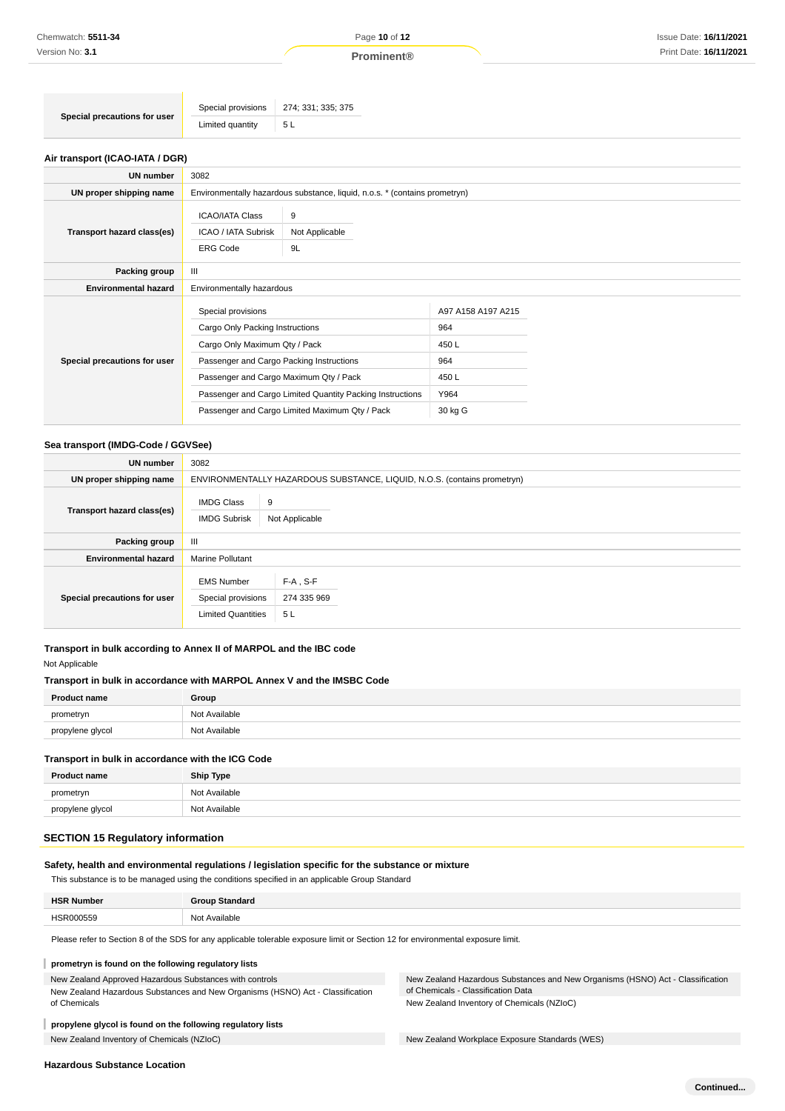### **Air transport (ICAO-IATA / DGR)**

| UN number                    | 3082                                                                                                                                                                                                                                                                                        |                                                                            |                                                                       |  |
|------------------------------|---------------------------------------------------------------------------------------------------------------------------------------------------------------------------------------------------------------------------------------------------------------------------------------------|----------------------------------------------------------------------------|-----------------------------------------------------------------------|--|
| UN proper shipping name      |                                                                                                                                                                                                                                                                                             | Environmentally hazardous substance, liquid, n.o.s. * (contains prometryn) |                                                                       |  |
| Transport hazard class(es)   | <b>ICAO/IATA Class</b><br><b>ICAO / IATA Subrisk</b><br><b>ERG Code</b>                                                                                                                                                                                                                     | 9<br>Not Applicable<br>9L                                                  |                                                                       |  |
| Packing group                | Ш                                                                                                                                                                                                                                                                                           |                                                                            |                                                                       |  |
| <b>Environmental hazard</b>  | Environmentally hazardous                                                                                                                                                                                                                                                                   |                                                                            |                                                                       |  |
| Special precautions for user | Special provisions<br>Cargo Only Packing Instructions<br>Cargo Only Maximum Qty / Pack<br>Passenger and Cargo Packing Instructions<br>Passenger and Cargo Maximum Qty / Pack<br>Passenger and Cargo Limited Quantity Packing Instructions<br>Passenger and Cargo Limited Maximum Qty / Pack |                                                                            | A97 A158 A197 A215<br>964<br>450 L<br>964<br>450 L<br>Y964<br>30 kg G |  |

### **Sea transport (IMDG-Code / GGVSee)**

| <b>UN number</b>             | 3082                                                                     |                                  |  |
|------------------------------|--------------------------------------------------------------------------|----------------------------------|--|
| UN proper shipping name      | ENVIRONMENTALLY HAZARDOUS SUBSTANCE, LIQUID, N.O.S. (contains prometryn) |                                  |  |
| Transport hazard class(es)   | <b>IMDG Class</b><br><b>IMDG Subrisk</b>                                 | 9<br>Not Applicable              |  |
| Packing group                | Ш                                                                        |                                  |  |
| <b>Environmental hazard</b>  | <b>Marine Pollutant</b>                                                  |                                  |  |
| Special precautions for user | <b>EMS Number</b><br>Special provisions<br><b>Limited Quantities</b>     | $F-A$ , S-F<br>274 335 969<br>5L |  |

### **Transport in bulk according to Annex II of MARPOL and the IBC code**

Not Applicable

### **Transport in bulk in accordance with MARPOL Annex V and the IMSBC Code**

| <b>Product name</b> | Group         |
|---------------------|---------------|
| prometryn           | Not Available |
| propylene glycol    | Not Available |

### **Transport in bulk in accordance with the ICG Code**

| <b>Product name</b> | <b>Ship Type</b> |
|---------------------|------------------|
| prometryn           | Not Available    |
| propylene glycol    | Not Available    |

### **SECTION 15 Regulatory information**

### **Safety, health and environmental regulations / legislation specific for the substance or mixture**

This substance is to be managed using the conditions specified in an applicable Group Standard

| <b>HSR Number</b> | <b>Group Standard</b> |
|-------------------|-----------------------|
| HSR000559         | Not Available         |

Please refer to Section 8 of the SDS for any applicable tolerable exposure limit or Section 12 for environmental exposure limit.

#### ı **prometryn is found on the following regulatory lists**

### New Zealand Approved Hazardous Substances with controls

New Zealand Hazardous Substances and New Organisms (HSNO) Act - Classification of Chemicals

#### **propylene glycol is found on the following regulatory lists**

New Zealand Inventory of Chemicals (NZIoC) New Zealand Workplace Exposure Standards (WES)

New Zealand Hazardous Substances and New Organisms (HSNO) Act - Classification of Chemicals - Classification Data New Zealand Inventory of Chemicals (NZIoC)

### **Hazardous Substance Location**

ı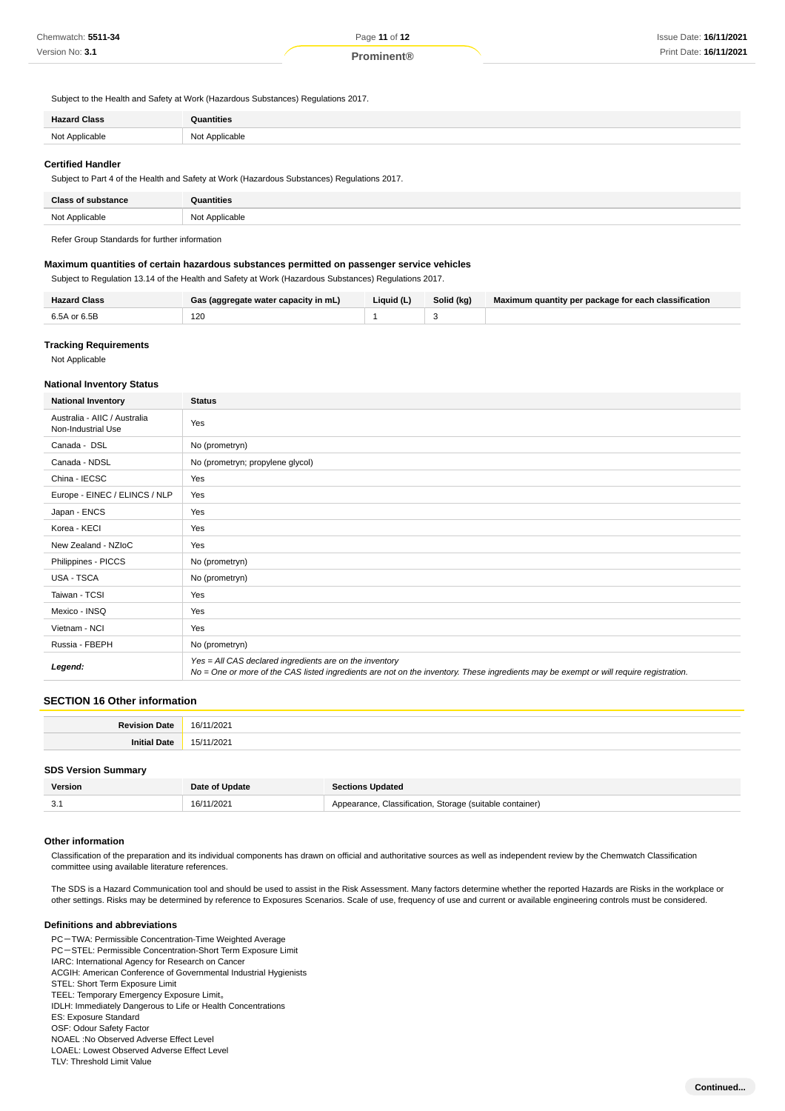Subject to the Health and Safety at Work (Hazardous Substances) Regulations 2017.

| <b>Hazard Class</b> | Quantities           |
|---------------------|----------------------|
| Not Applicable      | Not Applicable<br>__ |
|                     |                      |

#### **Certified Handler**

Subject to Part 4 of the Health and Safety at Work (Hazardous Substances) Regulations 2017.

| <b>Class</b><br>f substance | antities       |
|-----------------------------|----------------|
| Not Applicable              | Not Applicable |

Refer Group Standards for further information

### **Maximum quantities of certain hazardous substances permitted on passenger service vehicles**

Subject to Regulation 13.14 of the Health and Safety at Work (Hazardous Substances) Regulations 2017.

| <b>Hazard Class</b> | Gas (aggregate water capacity in mL) | Liquid (L) | Solid (kg) | Maximum quantity per package for each classification |
|---------------------|--------------------------------------|------------|------------|------------------------------------------------------|
| 6.5A or 6.5B        | 120<br>__                            |            |            |                                                      |

### **Tracking Requirements**

Not Applicable

#### **National Inventory Status**

| <b>National Inventory</b>                          | <b>Status</b>                                                                                                                                                                                     |
|----------------------------------------------------|---------------------------------------------------------------------------------------------------------------------------------------------------------------------------------------------------|
| Australia - AIIC / Australia<br>Non-Industrial Use | Yes                                                                                                                                                                                               |
| Canada - DSL                                       | No (prometryn)                                                                                                                                                                                    |
| Canada - NDSL                                      | No (prometryn; propylene glycol)                                                                                                                                                                  |
| China - IECSC                                      | Yes                                                                                                                                                                                               |
| Europe - EINEC / ELINCS / NLP                      | Yes                                                                                                                                                                                               |
| Japan - ENCS                                       | Yes                                                                                                                                                                                               |
| Korea - KECI                                       | Yes                                                                                                                                                                                               |
| New Zealand - NZIoC                                | Yes                                                                                                                                                                                               |
| Philippines - PICCS                                | No (prometryn)                                                                                                                                                                                    |
| USA - TSCA                                         | No (prometryn)                                                                                                                                                                                    |
| Taiwan - TCSI                                      | Yes                                                                                                                                                                                               |
| Mexico - INSQ                                      | Yes                                                                                                                                                                                               |
| Vietnam - NCI                                      | Yes                                                                                                                                                                                               |
| Russia - FBEPH                                     | No (prometryn)                                                                                                                                                                                    |
| Legend:                                            | Yes = All CAS declared ingredients are on the inventory<br>No = One or more of the CAS listed ingredients are not on the inventory. These ingredients may be exempt or will require registration. |

### **SECTION 16 Other information**

| $\sim$ $\sim$ |
|---------------|
|               |

### **SDS Version Summary**

| Version | Date of Update  | tions Updated                                     |
|---------|-----------------|---------------------------------------------------|
| v.      | :1/2021<br>16/1 | . Storage (suitable container)<br>∵lassification. |

#### **Other information**

Classification of the preparation and its individual components has drawn on official and authoritative sources as well as independent review by the Chemwatch Classification committee using available literature references.

The SDS is a Hazard Communication tool and should be used to assist in the Risk Assessment. Many factors determine whether the reported Hazards are Risks in the workplace or other settings. Risks may be determined by reference to Exposures Scenarios. Scale of use, frequency of use and current or available engineering controls must be considered.

#### **Definitions and abbreviations**

PC-TWA: Permissible Concentration-Time Weighted Average PC-STEL: Permissible Concentration-Short Term Exposure Limit IARC: International Agency for Research on Cancer ACGIH: American Conference of Governmental Industrial Hygienists STEL: Short Term Exposure Limit TEEL: Temporary Emergency Exposure Limit。 IDLH: Immediately Dangerous to Life or Health Concentrations ES: Exposure Standard OSF: Odour Safety Factor NOAEL :No Observed Adverse Effect Level LOAEL: Lowest Observed Adverse Effect Level TLV: Threshold Limit Value